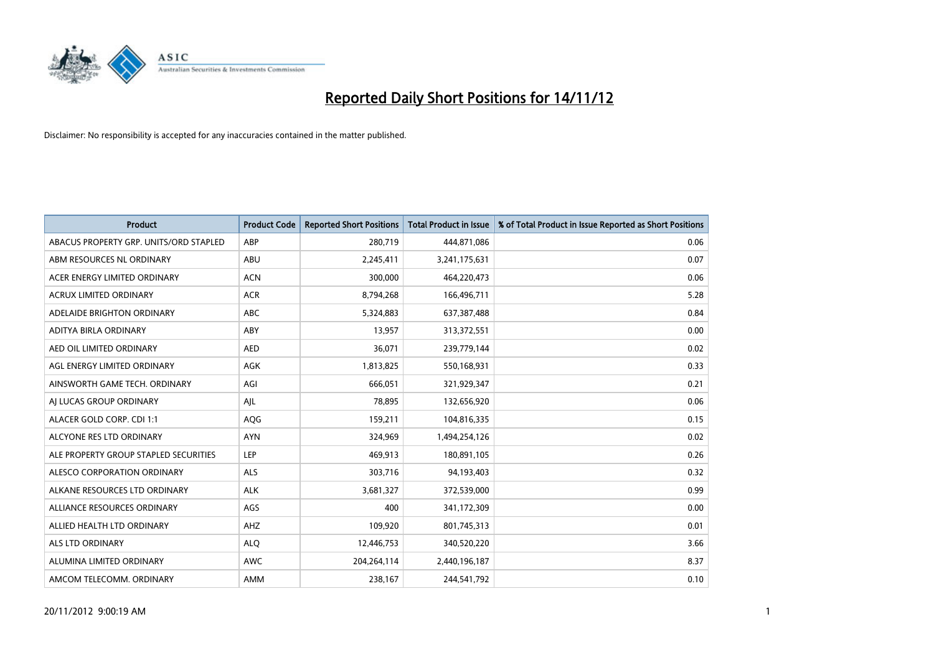

| <b>Product</b>                         | <b>Product Code</b> | <b>Reported Short Positions</b> | <b>Total Product in Issue</b> | % of Total Product in Issue Reported as Short Positions |
|----------------------------------------|---------------------|---------------------------------|-------------------------------|---------------------------------------------------------|
| ABACUS PROPERTY GRP. UNITS/ORD STAPLED | ABP                 | 280,719                         | 444,871,086                   | 0.06                                                    |
| ABM RESOURCES NL ORDINARY              | ABU                 | 2,245,411                       | 3,241,175,631                 | 0.07                                                    |
| ACER ENERGY LIMITED ORDINARY           | <b>ACN</b>          | 300,000                         | 464,220,473                   | 0.06                                                    |
| ACRUX LIMITED ORDINARY                 | <b>ACR</b>          | 8,794,268                       | 166,496,711                   | 5.28                                                    |
| ADELAIDE BRIGHTON ORDINARY             | <b>ABC</b>          | 5,324,883                       | 637, 387, 488                 | 0.84                                                    |
| ADITYA BIRLA ORDINARY                  | ABY                 | 13,957                          | 313,372,551                   | 0.00                                                    |
| AED OIL LIMITED ORDINARY               | <b>AED</b>          | 36,071                          | 239,779,144                   | 0.02                                                    |
| AGL ENERGY LIMITED ORDINARY            | <b>AGK</b>          | 1,813,825                       | 550,168,931                   | 0.33                                                    |
| AINSWORTH GAME TECH. ORDINARY          | AGI                 | 666,051                         | 321,929,347                   | 0.21                                                    |
| AI LUCAS GROUP ORDINARY                | AJL                 | 78,895                          | 132,656,920                   | 0.06                                                    |
| ALACER GOLD CORP. CDI 1:1              | AQG                 | 159,211                         | 104,816,335                   | 0.15                                                    |
| ALCYONE RES LTD ORDINARY               | <b>AYN</b>          | 324,969                         | 1,494,254,126                 | 0.02                                                    |
| ALE PROPERTY GROUP STAPLED SECURITIES  | LEP                 | 469,913                         | 180,891,105                   | 0.26                                                    |
| ALESCO CORPORATION ORDINARY            | ALS                 | 303,716                         | 94,193,403                    | 0.32                                                    |
| ALKANE RESOURCES LTD ORDINARY          | <b>ALK</b>          | 3,681,327                       | 372,539,000                   | 0.99                                                    |
| ALLIANCE RESOURCES ORDINARY            | AGS                 | 400                             | 341,172,309                   | 0.00                                                    |
| ALLIED HEALTH LTD ORDINARY             | AHZ                 | 109,920                         | 801,745,313                   | 0.01                                                    |
| <b>ALS LTD ORDINARY</b>                | <b>ALQ</b>          | 12,446,753                      | 340,520,220                   | 3.66                                                    |
| ALUMINA LIMITED ORDINARY               | <b>AWC</b>          | 204,264,114                     | 2,440,196,187                 | 8.37                                                    |
| AMCOM TELECOMM, ORDINARY               | <b>AMM</b>          | 238,167                         | 244,541,792                   | 0.10                                                    |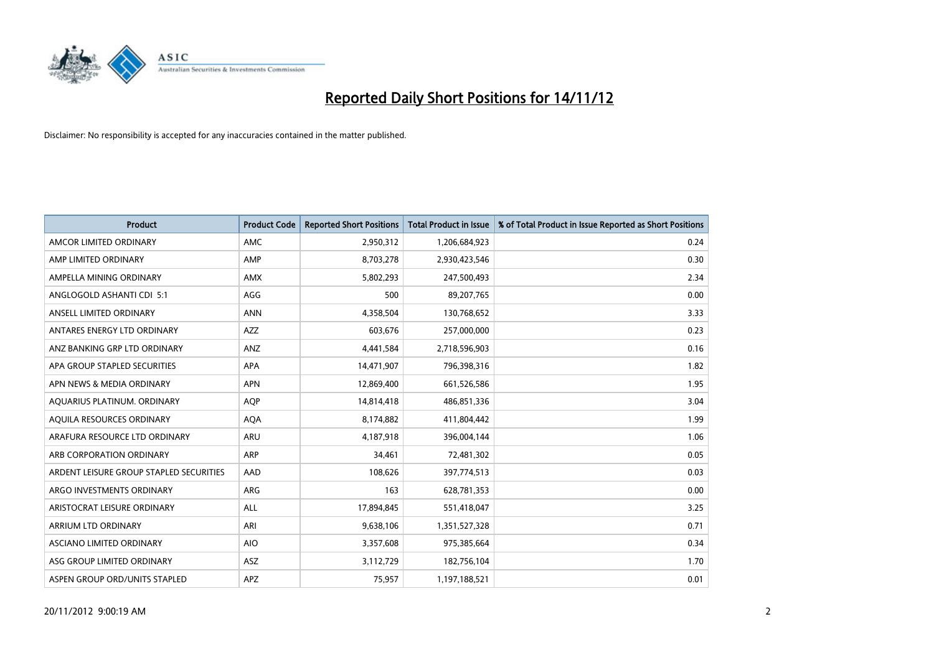

| <b>Product</b>                          | <b>Product Code</b> | <b>Reported Short Positions</b> | <b>Total Product in Issue</b> | % of Total Product in Issue Reported as Short Positions |
|-----------------------------------------|---------------------|---------------------------------|-------------------------------|---------------------------------------------------------|
| AMCOR LIMITED ORDINARY                  | <b>AMC</b>          | 2,950,312                       | 1,206,684,923                 | 0.24                                                    |
| AMP LIMITED ORDINARY                    | AMP                 | 8,703,278                       | 2,930,423,546                 | 0.30                                                    |
| AMPELLA MINING ORDINARY                 | <b>AMX</b>          | 5,802,293                       | 247,500,493                   | 2.34                                                    |
| ANGLOGOLD ASHANTI CDI 5:1               | AGG                 | 500                             | 89,207,765                    | 0.00                                                    |
| ANSELL LIMITED ORDINARY                 | <b>ANN</b>          | 4,358,504                       | 130,768,652                   | 3.33                                                    |
| ANTARES ENERGY LTD ORDINARY             | <b>AZZ</b>          | 603,676                         | 257,000,000                   | 0.23                                                    |
| ANZ BANKING GRP LTD ORDINARY            | ANZ                 | 4,441,584                       | 2,718,596,903                 | 0.16                                                    |
| APA GROUP STAPLED SECURITIES            | <b>APA</b>          | 14,471,907                      | 796,398,316                   | 1.82                                                    |
| APN NEWS & MEDIA ORDINARY               | <b>APN</b>          | 12,869,400                      | 661,526,586                   | 1.95                                                    |
| AQUARIUS PLATINUM. ORDINARY             | <b>AOP</b>          | 14,814,418                      | 486,851,336                   | 3.04                                                    |
| AQUILA RESOURCES ORDINARY               | <b>AQA</b>          | 8,174,882                       | 411,804,442                   | 1.99                                                    |
| ARAFURA RESOURCE LTD ORDINARY           | <b>ARU</b>          | 4,187,918                       | 396,004,144                   | 1.06                                                    |
| ARB CORPORATION ORDINARY                | ARP                 | 34,461                          | 72,481,302                    | 0.05                                                    |
| ARDENT LEISURE GROUP STAPLED SECURITIES | AAD                 | 108,626                         | 397,774,513                   | 0.03                                                    |
| ARGO INVESTMENTS ORDINARY               | ARG                 | 163                             | 628,781,353                   | 0.00                                                    |
| ARISTOCRAT LEISURE ORDINARY             | ALL                 | 17,894,845                      | 551,418,047                   | 3.25                                                    |
| ARRIUM LTD ORDINARY                     | ARI                 | 9,638,106                       | 1,351,527,328                 | 0.71                                                    |
| ASCIANO LIMITED ORDINARY                | <b>AIO</b>          | 3,357,608                       | 975,385,664                   | 0.34                                                    |
| ASG GROUP LIMITED ORDINARY              | <b>ASZ</b>          | 3,112,729                       | 182,756,104                   | 1.70                                                    |
| ASPEN GROUP ORD/UNITS STAPLED           | APZ                 | 75,957                          | 1,197,188,521                 | 0.01                                                    |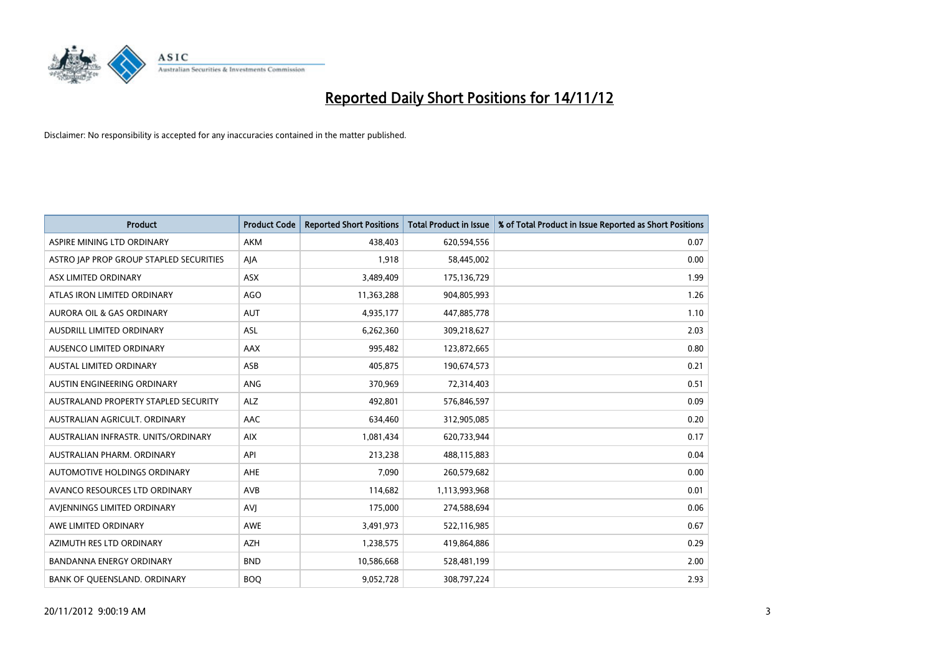

| <b>Product</b>                          | <b>Product Code</b> | <b>Reported Short Positions</b> | <b>Total Product in Issue</b> | % of Total Product in Issue Reported as Short Positions |
|-----------------------------------------|---------------------|---------------------------------|-------------------------------|---------------------------------------------------------|
| ASPIRE MINING LTD ORDINARY              | <b>AKM</b>          | 438,403                         | 620,594,556                   | 0.07                                                    |
| ASTRO JAP PROP GROUP STAPLED SECURITIES | AJA                 | 1,918                           | 58,445,002                    | 0.00                                                    |
| ASX LIMITED ORDINARY                    | <b>ASX</b>          | 3,489,409                       | 175,136,729                   | 1.99                                                    |
| ATLAS IRON LIMITED ORDINARY             | AGO                 | 11,363,288                      | 904,805,993                   | 1.26                                                    |
| <b>AURORA OIL &amp; GAS ORDINARY</b>    | <b>AUT</b>          | 4,935,177                       | 447,885,778                   | 1.10                                                    |
| AUSDRILL LIMITED ORDINARY               | <b>ASL</b>          | 6,262,360                       | 309,218,627                   | 2.03                                                    |
| AUSENCO LIMITED ORDINARY                | <b>AAX</b>          | 995,482                         | 123,872,665                   | 0.80                                                    |
| AUSTAL LIMITED ORDINARY                 | ASB                 | 405,875                         | 190,674,573                   | 0.21                                                    |
| AUSTIN ENGINEERING ORDINARY             | <b>ANG</b>          | 370,969                         | 72,314,403                    | 0.51                                                    |
| AUSTRALAND PROPERTY STAPLED SECURITY    | <b>ALZ</b>          | 492,801                         | 576,846,597                   | 0.09                                                    |
| AUSTRALIAN AGRICULT. ORDINARY           | AAC                 | 634,460                         | 312,905,085                   | 0.20                                                    |
| AUSTRALIAN INFRASTR, UNITS/ORDINARY     | <b>AIX</b>          | 1,081,434                       | 620,733,944                   | 0.17                                                    |
| AUSTRALIAN PHARM. ORDINARY              | API                 | 213,238                         | 488,115,883                   | 0.04                                                    |
| AUTOMOTIVE HOLDINGS ORDINARY            | AHE                 | 7,090                           | 260,579,682                   | 0.00                                                    |
| AVANCO RESOURCES LTD ORDINARY           | <b>AVB</b>          | 114,682                         | 1,113,993,968                 | 0.01                                                    |
| AVIENNINGS LIMITED ORDINARY             | AVI                 | 175,000                         | 274,588,694                   | 0.06                                                    |
| AWE LIMITED ORDINARY                    | AWE                 | 3,491,973                       | 522,116,985                   | 0.67                                                    |
| AZIMUTH RES LTD ORDINARY                | <b>AZH</b>          | 1,238,575                       | 419,864,886                   | 0.29                                                    |
| <b>BANDANNA ENERGY ORDINARY</b>         | <b>BND</b>          | 10,586,668                      | 528,481,199                   | 2.00                                                    |
| BANK OF QUEENSLAND. ORDINARY            | <b>BOQ</b>          | 9,052,728                       | 308,797,224                   | 2.93                                                    |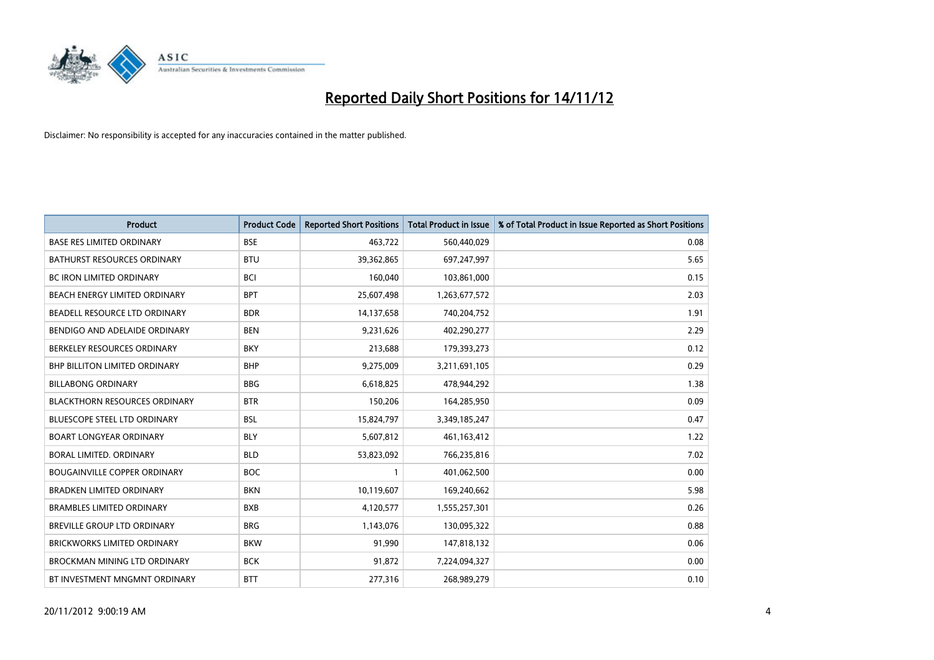

| <b>Product</b>                       | <b>Product Code</b> | <b>Reported Short Positions</b> | <b>Total Product in Issue</b> | % of Total Product in Issue Reported as Short Positions |
|--------------------------------------|---------------------|---------------------------------|-------------------------------|---------------------------------------------------------|
| <b>BASE RES LIMITED ORDINARY</b>     | <b>BSE</b>          | 463,722                         | 560,440,029                   | 0.08                                                    |
| <b>BATHURST RESOURCES ORDINARY</b>   | <b>BTU</b>          | 39,362,865                      | 697,247,997                   | 5.65                                                    |
| <b>BC IRON LIMITED ORDINARY</b>      | <b>BCI</b>          | 160,040                         | 103,861,000                   | 0.15                                                    |
| BEACH ENERGY LIMITED ORDINARY        | <b>BPT</b>          | 25,607,498                      | 1,263,677,572                 | 2.03                                                    |
| BEADELL RESOURCE LTD ORDINARY        | <b>BDR</b>          | 14,137,658                      | 740,204,752                   | 1.91                                                    |
| BENDIGO AND ADELAIDE ORDINARY        | <b>BEN</b>          | 9,231,626                       | 402,290,277                   | 2.29                                                    |
| BERKELEY RESOURCES ORDINARY          | <b>BKY</b>          | 213,688                         | 179,393,273                   | 0.12                                                    |
| <b>BHP BILLITON LIMITED ORDINARY</b> | <b>BHP</b>          | 9,275,009                       | 3,211,691,105                 | 0.29                                                    |
| <b>BILLABONG ORDINARY</b>            | <b>BBG</b>          | 6,618,825                       | 478,944,292                   | 1.38                                                    |
| <b>BLACKTHORN RESOURCES ORDINARY</b> | <b>BTR</b>          | 150,206                         | 164,285,950                   | 0.09                                                    |
| <b>BLUESCOPE STEEL LTD ORDINARY</b>  | <b>BSL</b>          | 15,824,797                      | 3,349,185,247                 | 0.47                                                    |
| <b>BOART LONGYEAR ORDINARY</b>       | <b>BLY</b>          | 5,607,812                       | 461,163,412                   | 1.22                                                    |
| BORAL LIMITED, ORDINARY              | <b>BLD</b>          | 53,823,092                      | 766,235,816                   | 7.02                                                    |
| <b>BOUGAINVILLE COPPER ORDINARY</b>  | <b>BOC</b>          | 1                               | 401,062,500                   | 0.00                                                    |
| <b>BRADKEN LIMITED ORDINARY</b>      | <b>BKN</b>          | 10,119,607                      | 169,240,662                   | 5.98                                                    |
| <b>BRAMBLES LIMITED ORDINARY</b>     | <b>BXB</b>          | 4,120,577                       | 1,555,257,301                 | 0.26                                                    |
| BREVILLE GROUP LTD ORDINARY          | <b>BRG</b>          | 1,143,076                       | 130,095,322                   | 0.88                                                    |
| <b>BRICKWORKS LIMITED ORDINARY</b>   | <b>BKW</b>          | 91,990                          | 147,818,132                   | 0.06                                                    |
| <b>BROCKMAN MINING LTD ORDINARY</b>  | <b>BCK</b>          | 91,872                          | 7,224,094,327                 | 0.00                                                    |
| BT INVESTMENT MNGMNT ORDINARY        | <b>BTT</b>          | 277,316                         | 268,989,279                   | 0.10                                                    |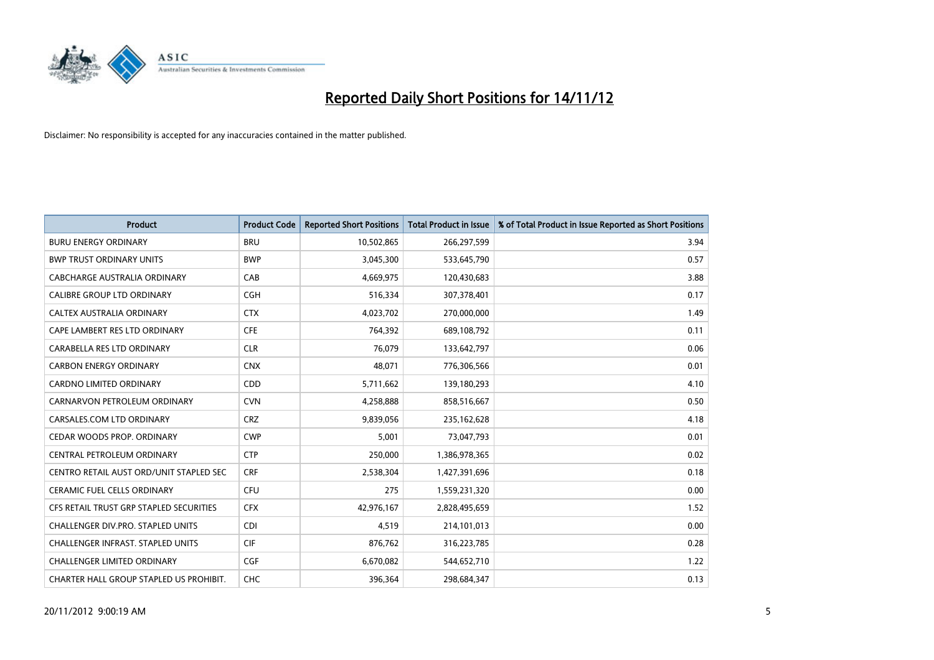

| <b>Product</b>                          | <b>Product Code</b> | <b>Reported Short Positions</b> | <b>Total Product in Issue</b> | % of Total Product in Issue Reported as Short Positions |
|-----------------------------------------|---------------------|---------------------------------|-------------------------------|---------------------------------------------------------|
| <b>BURU ENERGY ORDINARY</b>             | <b>BRU</b>          | 10,502,865                      | 266,297,599                   | 3.94                                                    |
| <b>BWP TRUST ORDINARY UNITS</b>         | <b>BWP</b>          | 3,045,300                       | 533,645,790                   | 0.57                                                    |
| CABCHARGE AUSTRALIA ORDINARY            | CAB                 | 4,669,975                       | 120,430,683                   | 3.88                                                    |
| CALIBRE GROUP LTD ORDINARY              | <b>CGH</b>          | 516,334                         | 307,378,401                   | 0.17                                                    |
| CALTEX AUSTRALIA ORDINARY               | <b>CTX</b>          | 4,023,702                       | 270,000,000                   | 1.49                                                    |
| CAPE LAMBERT RES LTD ORDINARY           | <b>CFE</b>          | 764,392                         | 689,108,792                   | 0.11                                                    |
| CARABELLA RES LTD ORDINARY              | <b>CLR</b>          | 76.079                          | 133,642,797                   | 0.06                                                    |
| <b>CARBON ENERGY ORDINARY</b>           | <b>CNX</b>          | 48,071                          | 776,306,566                   | 0.01                                                    |
| CARDNO LIMITED ORDINARY                 | CDD                 | 5,711,662                       | 139,180,293                   | 4.10                                                    |
| CARNARVON PETROLEUM ORDINARY            | <b>CVN</b>          | 4,258,888                       | 858,516,667                   | 0.50                                                    |
| CARSALES.COM LTD ORDINARY               | <b>CRZ</b>          | 9,839,056                       | 235,162,628                   | 4.18                                                    |
| CEDAR WOODS PROP. ORDINARY              | <b>CWP</b>          | 5,001                           | 73,047,793                    | 0.01                                                    |
| CENTRAL PETROLEUM ORDINARY              | <b>CTP</b>          | 250,000                         | 1,386,978,365                 | 0.02                                                    |
| CENTRO RETAIL AUST ORD/UNIT STAPLED SEC | <b>CRF</b>          | 2,538,304                       | 1,427,391,696                 | 0.18                                                    |
| <b>CERAMIC FUEL CELLS ORDINARY</b>      | <b>CFU</b>          | 275                             | 1,559,231,320                 | 0.00                                                    |
| CFS RETAIL TRUST GRP STAPLED SECURITIES | <b>CFX</b>          | 42,976,167                      | 2,828,495,659                 | 1.52                                                    |
| CHALLENGER DIV.PRO. STAPLED UNITS       | <b>CDI</b>          | 4,519                           | 214,101,013                   | 0.00                                                    |
| CHALLENGER INFRAST. STAPLED UNITS       | <b>CIF</b>          | 876,762                         | 316,223,785                   | 0.28                                                    |
| <b>CHALLENGER LIMITED ORDINARY</b>      | <b>CGF</b>          | 6,670,082                       | 544,652,710                   | 1.22                                                    |
| CHARTER HALL GROUP STAPLED US PROHIBIT. | <b>CHC</b>          | 396,364                         | 298,684,347                   | 0.13                                                    |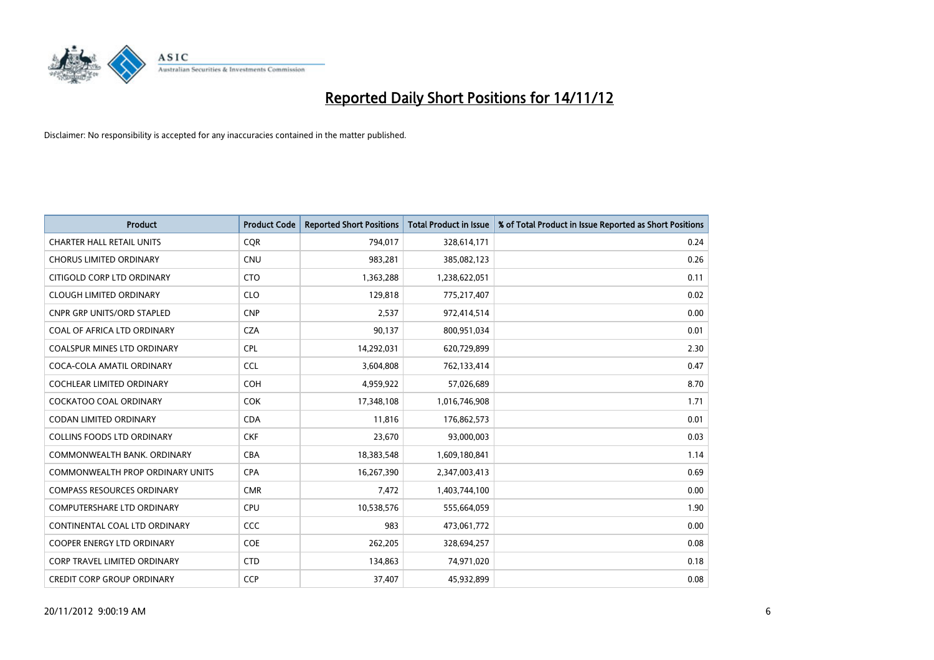

| <b>Product</b>                          | <b>Product Code</b> | <b>Reported Short Positions</b> | <b>Total Product in Issue</b> | % of Total Product in Issue Reported as Short Positions |
|-----------------------------------------|---------------------|---------------------------------|-------------------------------|---------------------------------------------------------|
| <b>CHARTER HALL RETAIL UNITS</b>        | <b>COR</b>          | 794,017                         | 328,614,171                   | 0.24                                                    |
| <b>CHORUS LIMITED ORDINARY</b>          | <b>CNU</b>          | 983,281                         | 385,082,123                   | 0.26                                                    |
| CITIGOLD CORP LTD ORDINARY              | <b>CTO</b>          | 1,363,288                       | 1,238,622,051                 | 0.11                                                    |
| <b>CLOUGH LIMITED ORDINARY</b>          | <b>CLO</b>          | 129,818                         | 775,217,407                   | 0.02                                                    |
| <b>CNPR GRP UNITS/ORD STAPLED</b>       | <b>CNP</b>          | 2,537                           | 972,414,514                   | 0.00                                                    |
| COAL OF AFRICA LTD ORDINARY             | <b>CZA</b>          | 90,137                          | 800,951,034                   | 0.01                                                    |
| <b>COALSPUR MINES LTD ORDINARY</b>      | <b>CPL</b>          | 14,292,031                      | 620,729,899                   | 2.30                                                    |
| COCA-COLA AMATIL ORDINARY               | <b>CCL</b>          | 3,604,808                       | 762,133,414                   | 0.47                                                    |
| <b>COCHLEAR LIMITED ORDINARY</b>        | <b>COH</b>          | 4,959,922                       | 57,026,689                    | 8.70                                                    |
| <b>COCKATOO COAL ORDINARY</b>           | <b>COK</b>          | 17,348,108                      | 1,016,746,908                 | 1.71                                                    |
| CODAN LIMITED ORDINARY                  | <b>CDA</b>          | 11,816                          | 176,862,573                   | 0.01                                                    |
| <b>COLLINS FOODS LTD ORDINARY</b>       | <b>CKF</b>          | 23,670                          | 93,000,003                    | 0.03                                                    |
| COMMONWEALTH BANK, ORDINARY             | <b>CBA</b>          | 18,383,548                      | 1,609,180,841                 | 1.14                                                    |
| <b>COMMONWEALTH PROP ORDINARY UNITS</b> | <b>CPA</b>          | 16,267,390                      | 2,347,003,413                 | 0.69                                                    |
| <b>COMPASS RESOURCES ORDINARY</b>       | <b>CMR</b>          | 7,472                           | 1,403,744,100                 | 0.00                                                    |
| COMPUTERSHARE LTD ORDINARY              | <b>CPU</b>          | 10,538,576                      | 555,664,059                   | 1.90                                                    |
| CONTINENTAL COAL LTD ORDINARY           | CCC                 | 983                             | 473,061,772                   | 0.00                                                    |
| COOPER ENERGY LTD ORDINARY              | <b>COE</b>          | 262,205                         | 328,694,257                   | 0.08                                                    |
| <b>CORP TRAVEL LIMITED ORDINARY</b>     | <b>CTD</b>          | 134,863                         | 74,971,020                    | 0.18                                                    |
| <b>CREDIT CORP GROUP ORDINARY</b>       | <b>CCP</b>          | 37,407                          | 45,932,899                    | 0.08                                                    |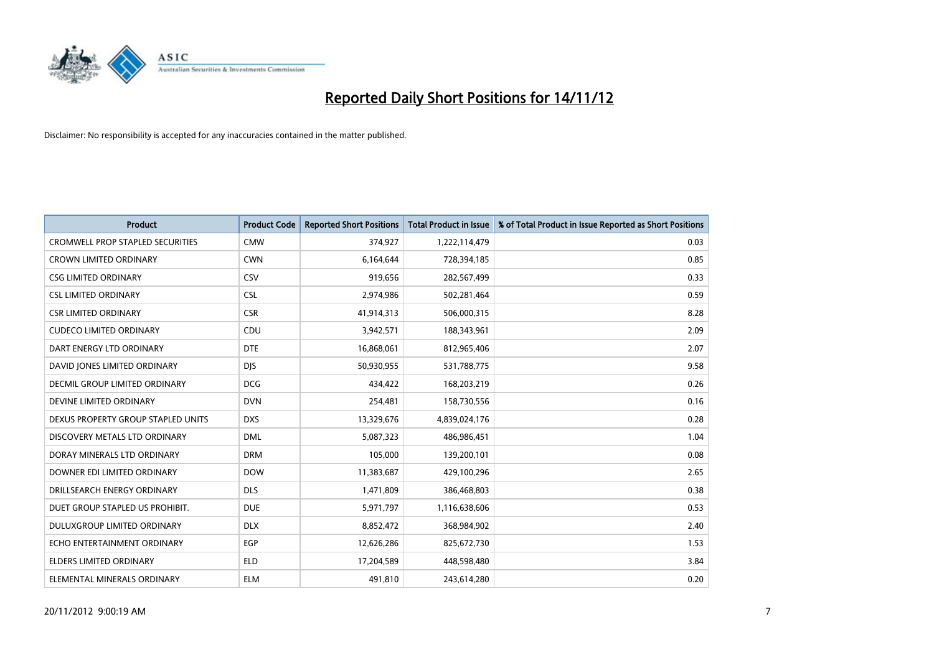

| <b>Product</b>                          | <b>Product Code</b> | <b>Reported Short Positions</b> | <b>Total Product in Issue</b> | % of Total Product in Issue Reported as Short Positions |
|-----------------------------------------|---------------------|---------------------------------|-------------------------------|---------------------------------------------------------|
| <b>CROMWELL PROP STAPLED SECURITIES</b> | <b>CMW</b>          | 374,927                         | 1,222,114,479                 | 0.03                                                    |
| <b>CROWN LIMITED ORDINARY</b>           | <b>CWN</b>          | 6,164,644                       | 728,394,185                   | 0.85                                                    |
| <b>CSG LIMITED ORDINARY</b>             | CSV                 | 919,656                         | 282,567,499                   | 0.33                                                    |
| <b>CSL LIMITED ORDINARY</b>             | <b>CSL</b>          | 2,974,986                       | 502,281,464                   | 0.59                                                    |
| <b>CSR LIMITED ORDINARY</b>             | <b>CSR</b>          | 41,914,313                      | 506,000,315                   | 8.28                                                    |
| <b>CUDECO LIMITED ORDINARY</b>          | CDU                 | 3,942,571                       | 188,343,961                   | 2.09                                                    |
| DART ENERGY LTD ORDINARY                | <b>DTE</b>          | 16,868,061                      | 812,965,406                   | 2.07                                                    |
| DAVID JONES LIMITED ORDINARY            | <b>DIS</b>          | 50,930,955                      | 531,788,775                   | 9.58                                                    |
| <b>DECMIL GROUP LIMITED ORDINARY</b>    | <b>DCG</b>          | 434,422                         | 168,203,219                   | 0.26                                                    |
| DEVINE LIMITED ORDINARY                 | <b>DVN</b>          | 254,481                         | 158,730,556                   | 0.16                                                    |
| DEXUS PROPERTY GROUP STAPLED UNITS      | <b>DXS</b>          | 13,329,676                      | 4,839,024,176                 | 0.28                                                    |
| DISCOVERY METALS LTD ORDINARY           | <b>DML</b>          | 5,087,323                       | 486,986,451                   | 1.04                                                    |
| DORAY MINERALS LTD ORDINARY             | <b>DRM</b>          | 105,000                         | 139,200,101                   | 0.08                                                    |
| DOWNER EDI LIMITED ORDINARY             | <b>DOW</b>          | 11,383,687                      | 429,100,296                   | 2.65                                                    |
| DRILLSEARCH ENERGY ORDINARY             | <b>DLS</b>          | 1,471,809                       | 386,468,803                   | 0.38                                                    |
| DUET GROUP STAPLED US PROHIBIT.         | <b>DUE</b>          | 5,971,797                       | 1,116,638,606                 | 0.53                                                    |
| <b>DULUXGROUP LIMITED ORDINARY</b>      | <b>DLX</b>          | 8,852,472                       | 368,984,902                   | 2.40                                                    |
| ECHO ENTERTAINMENT ORDINARY             | <b>EGP</b>          | 12,626,286                      | 825,672,730                   | 1.53                                                    |
| <b>ELDERS LIMITED ORDINARY</b>          | <b>ELD</b>          | 17,204,589                      | 448,598,480                   | 3.84                                                    |
| ELEMENTAL MINERALS ORDINARY             | <b>ELM</b>          | 491,810                         | 243,614,280                   | 0.20                                                    |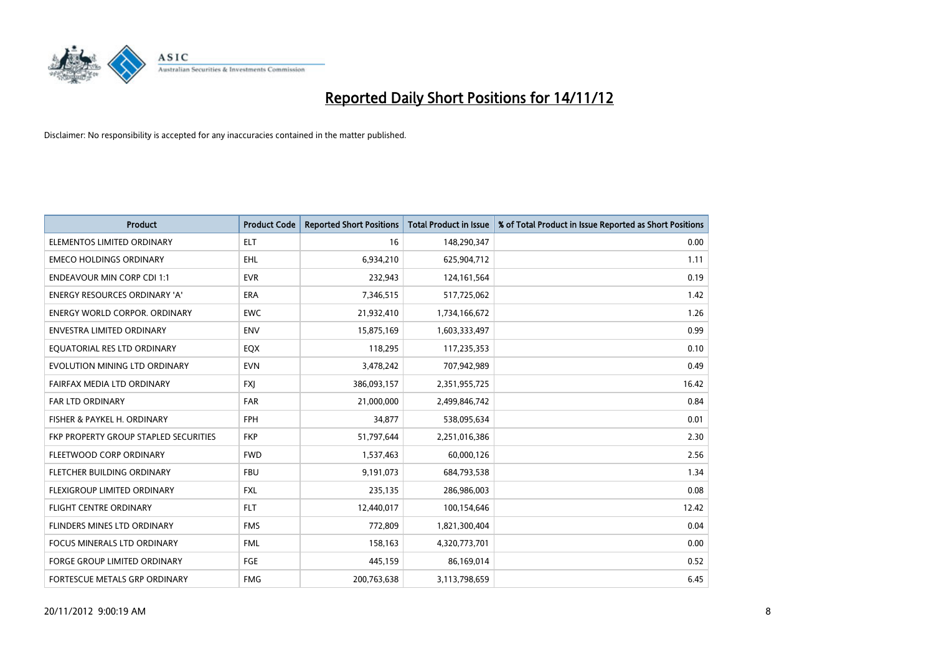

| <b>Product</b>                               | <b>Product Code</b> | <b>Reported Short Positions</b> | <b>Total Product in Issue</b> | % of Total Product in Issue Reported as Short Positions |
|----------------------------------------------|---------------------|---------------------------------|-------------------------------|---------------------------------------------------------|
| ELEMENTOS LIMITED ORDINARY                   | <b>ELT</b>          | 16                              | 148,290,347                   | 0.00                                                    |
| <b>EMECO HOLDINGS ORDINARY</b>               | <b>EHL</b>          | 6,934,210                       | 625,904,712                   | 1.11                                                    |
| <b>ENDEAVOUR MIN CORP CDI 1:1</b>            | <b>EVR</b>          | 232,943                         | 124,161,564                   | 0.19                                                    |
| ENERGY RESOURCES ORDINARY 'A'                | ERA                 | 7,346,515                       | 517,725,062                   | 1.42                                                    |
| <b>ENERGY WORLD CORPOR, ORDINARY</b>         | <b>EWC</b>          | 21,932,410                      | 1,734,166,672                 | 1.26                                                    |
| ENVESTRA LIMITED ORDINARY                    | <b>ENV</b>          | 15,875,169                      | 1,603,333,497                 | 0.99                                                    |
| EQUATORIAL RES LTD ORDINARY                  | EQX                 | 118,295                         | 117,235,353                   | 0.10                                                    |
| EVOLUTION MINING LTD ORDINARY                | <b>EVN</b>          | 3,478,242                       | 707,942,989                   | 0.49                                                    |
| FAIRFAX MEDIA LTD ORDINARY                   | <b>FXI</b>          | 386,093,157                     | 2,351,955,725                 | 16.42                                                   |
| <b>FAR LTD ORDINARY</b>                      | <b>FAR</b>          | 21,000,000                      | 2,499,846,742                 | 0.84                                                    |
| FISHER & PAYKEL H. ORDINARY                  | <b>FPH</b>          | 34,877                          | 538,095,634                   | 0.01                                                    |
| <b>FKP PROPERTY GROUP STAPLED SECURITIES</b> | <b>FKP</b>          | 51,797,644                      | 2,251,016,386                 | 2.30                                                    |
| FLEETWOOD CORP ORDINARY                      | <b>FWD</b>          | 1,537,463                       | 60,000,126                    | 2.56                                                    |
| FLETCHER BUILDING ORDINARY                   | <b>FBU</b>          | 9,191,073                       | 684,793,538                   | 1.34                                                    |
| FLEXIGROUP LIMITED ORDINARY                  | <b>FXL</b>          | 235,135                         | 286,986,003                   | 0.08                                                    |
| FLIGHT CENTRE ORDINARY                       | <b>FLT</b>          | 12,440,017                      | 100,154,646                   | 12.42                                                   |
| <b>FLINDERS MINES LTD ORDINARY</b>           | <b>FMS</b>          | 772,809                         | 1,821,300,404                 | 0.04                                                    |
| FOCUS MINERALS LTD ORDINARY                  | <b>FML</b>          | 158,163                         | 4,320,773,701                 | 0.00                                                    |
| <b>FORGE GROUP LIMITED ORDINARY</b>          | FGE                 | 445,159                         | 86,169,014                    | 0.52                                                    |
| FORTESCUE METALS GRP ORDINARY                | <b>FMG</b>          | 200,763,638                     | 3,113,798,659                 | 6.45                                                    |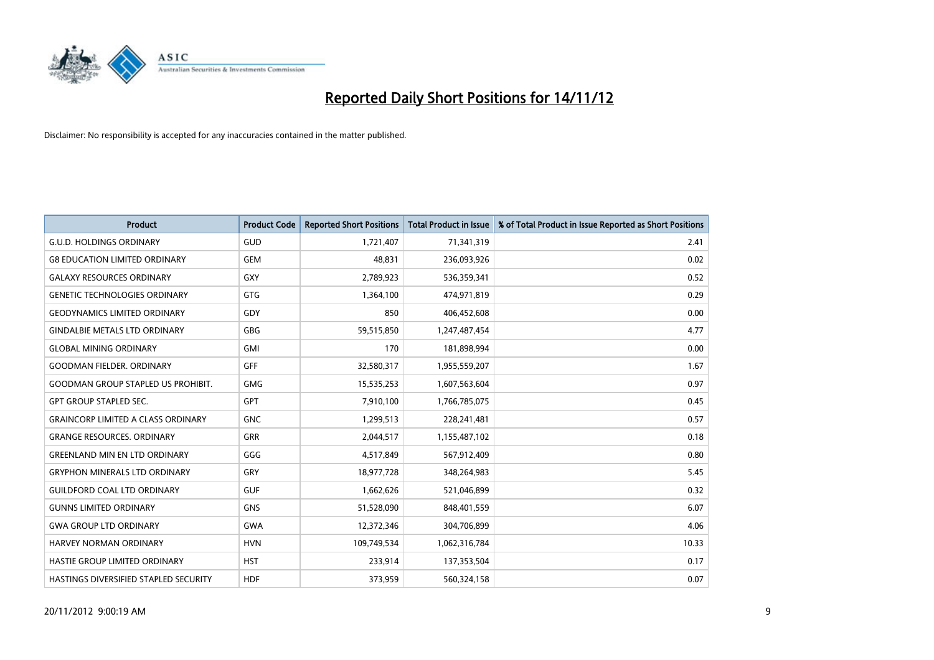

| <b>Product</b>                            | <b>Product Code</b> | <b>Reported Short Positions</b> | <b>Total Product in Issue</b> | % of Total Product in Issue Reported as Short Positions |
|-------------------------------------------|---------------------|---------------------------------|-------------------------------|---------------------------------------------------------|
| <b>G.U.D. HOLDINGS ORDINARY</b>           | <b>GUD</b>          | 1,721,407                       | 71,341,319                    | 2.41                                                    |
| <b>G8 EDUCATION LIMITED ORDINARY</b>      | <b>GEM</b>          | 48,831                          | 236,093,926                   | 0.02                                                    |
| <b>GALAXY RESOURCES ORDINARY</b>          | <b>GXY</b>          | 2,789,923                       | 536,359,341                   | 0.52                                                    |
| <b>GENETIC TECHNOLOGIES ORDINARY</b>      | <b>GTG</b>          | 1,364,100                       | 474,971,819                   | 0.29                                                    |
| <b>GEODYNAMICS LIMITED ORDINARY</b>       | GDY                 | 850                             | 406,452,608                   | 0.00                                                    |
| <b>GINDALBIE METALS LTD ORDINARY</b>      | <b>GBG</b>          | 59,515,850                      | 1,247,487,454                 | 4.77                                                    |
| <b>GLOBAL MINING ORDINARY</b>             | <b>GMI</b>          | 170                             | 181,898,994                   | 0.00                                                    |
| <b>GOODMAN FIELDER, ORDINARY</b>          | <b>GFF</b>          | 32,580,317                      | 1,955,559,207                 | 1.67                                                    |
| <b>GOODMAN GROUP STAPLED US PROHIBIT.</b> | <b>GMG</b>          | 15,535,253                      | 1,607,563,604                 | 0.97                                                    |
| <b>GPT GROUP STAPLED SEC.</b>             | <b>GPT</b>          | 7,910,100                       | 1,766,785,075                 | 0.45                                                    |
| <b>GRAINCORP LIMITED A CLASS ORDINARY</b> | <b>GNC</b>          | 1,299,513                       | 228,241,481                   | 0.57                                                    |
| <b>GRANGE RESOURCES, ORDINARY</b>         | <b>GRR</b>          | 2,044,517                       | 1,155,487,102                 | 0.18                                                    |
| <b>GREENLAND MIN EN LTD ORDINARY</b>      | GGG                 | 4,517,849                       | 567,912,409                   | 0.80                                                    |
| <b>GRYPHON MINERALS LTD ORDINARY</b>      | GRY                 | 18,977,728                      | 348,264,983                   | 5.45                                                    |
| <b>GUILDFORD COAL LTD ORDINARY</b>        | <b>GUF</b>          | 1,662,626                       | 521,046,899                   | 0.32                                                    |
| <b>GUNNS LIMITED ORDINARY</b>             | <b>GNS</b>          | 51,528,090                      | 848,401,559                   | 6.07                                                    |
| <b>GWA GROUP LTD ORDINARY</b>             | <b>GWA</b>          | 12,372,346                      | 304,706,899                   | 4.06                                                    |
| <b>HARVEY NORMAN ORDINARY</b>             | <b>HVN</b>          | 109,749,534                     | 1,062,316,784                 | 10.33                                                   |
| HASTIE GROUP LIMITED ORDINARY             | <b>HST</b>          | 233,914                         | 137,353,504                   | 0.17                                                    |
| HASTINGS DIVERSIFIED STAPLED SECURITY     | <b>HDF</b>          | 373,959                         | 560,324,158                   | 0.07                                                    |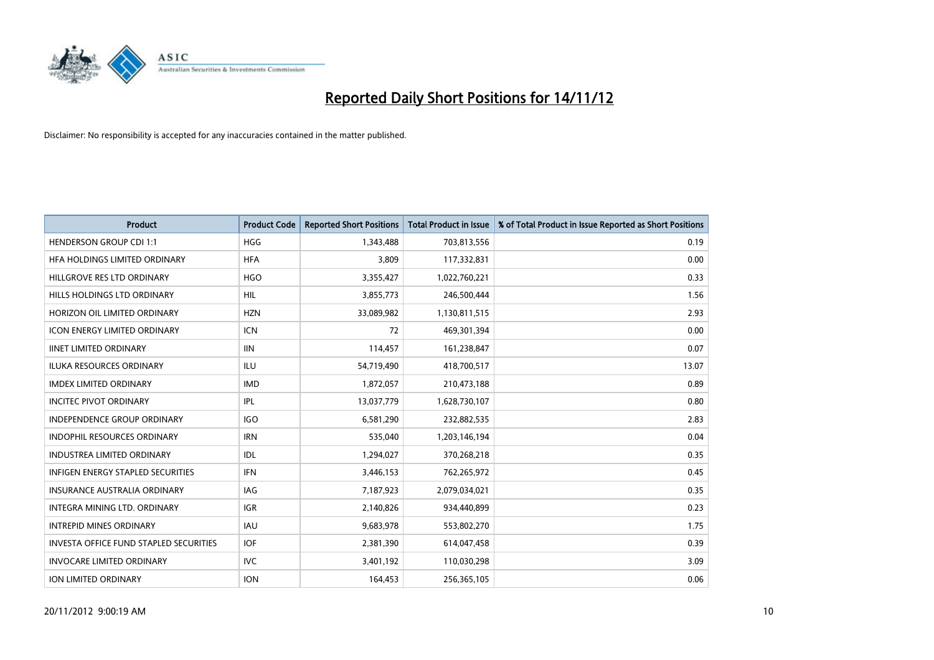

| <b>Product</b>                                | <b>Product Code</b> | <b>Reported Short Positions</b> | <b>Total Product in Issue</b> | % of Total Product in Issue Reported as Short Positions |
|-----------------------------------------------|---------------------|---------------------------------|-------------------------------|---------------------------------------------------------|
| <b>HENDERSON GROUP CDI 1:1</b>                | <b>HGG</b>          | 1,343,488                       | 703,813,556                   | 0.19                                                    |
| HFA HOLDINGS LIMITED ORDINARY                 | <b>HFA</b>          | 3,809                           | 117,332,831                   | 0.00                                                    |
| HILLGROVE RES LTD ORDINARY                    | <b>HGO</b>          | 3,355,427                       | 1,022,760,221                 | 0.33                                                    |
| HILLS HOLDINGS LTD ORDINARY                   | <b>HIL</b>          | 3,855,773                       | 246,500,444                   | 1.56                                                    |
| HORIZON OIL LIMITED ORDINARY                  | <b>HZN</b>          | 33,089,982                      | 1,130,811,515                 | 2.93                                                    |
| <b>ICON ENERGY LIMITED ORDINARY</b>           | <b>ICN</b>          | 72                              | 469,301,394                   | 0.00                                                    |
| <b>IINET LIMITED ORDINARY</b>                 | <b>IIN</b>          | 114,457                         | 161,238,847                   | 0.07                                                    |
| ILUKA RESOURCES ORDINARY                      | ILU                 | 54,719,490                      | 418,700,517                   | 13.07                                                   |
| <b>IMDEX LIMITED ORDINARY</b>                 | <b>IMD</b>          | 1,872,057                       | 210,473,188                   | 0.89                                                    |
| <b>INCITEC PIVOT ORDINARY</b>                 | IPL                 | 13,037,779                      | 1,628,730,107                 | 0.80                                                    |
| INDEPENDENCE GROUP ORDINARY                   | <b>IGO</b>          | 6,581,290                       | 232,882,535                   | 2.83                                                    |
| <b>INDOPHIL RESOURCES ORDINARY</b>            | <b>IRN</b>          | 535,040                         | 1,203,146,194                 | 0.04                                                    |
| INDUSTREA LIMITED ORDINARY                    | IDL                 | 1,294,027                       | 370,268,218                   | 0.35                                                    |
| <b>INFIGEN ENERGY STAPLED SECURITIES</b>      | <b>IFN</b>          | 3,446,153                       | 762,265,972                   | 0.45                                                    |
| <b>INSURANCE AUSTRALIA ORDINARY</b>           | IAG                 | 7,187,923                       | 2,079,034,021                 | 0.35                                                    |
| INTEGRA MINING LTD. ORDINARY                  | <b>IGR</b>          | 2,140,826                       | 934,440,899                   | 0.23                                                    |
| <b>INTREPID MINES ORDINARY</b>                | <b>IAU</b>          | 9,683,978                       | 553,802,270                   | 1.75                                                    |
| <b>INVESTA OFFICE FUND STAPLED SECURITIES</b> | <b>IOF</b>          | 2,381,390                       | 614,047,458                   | 0.39                                                    |
| <b>INVOCARE LIMITED ORDINARY</b>              | IVC                 | 3,401,192                       | 110,030,298                   | 3.09                                                    |
| <b>ION LIMITED ORDINARY</b>                   | <b>ION</b>          | 164,453                         | 256,365,105                   | 0.06                                                    |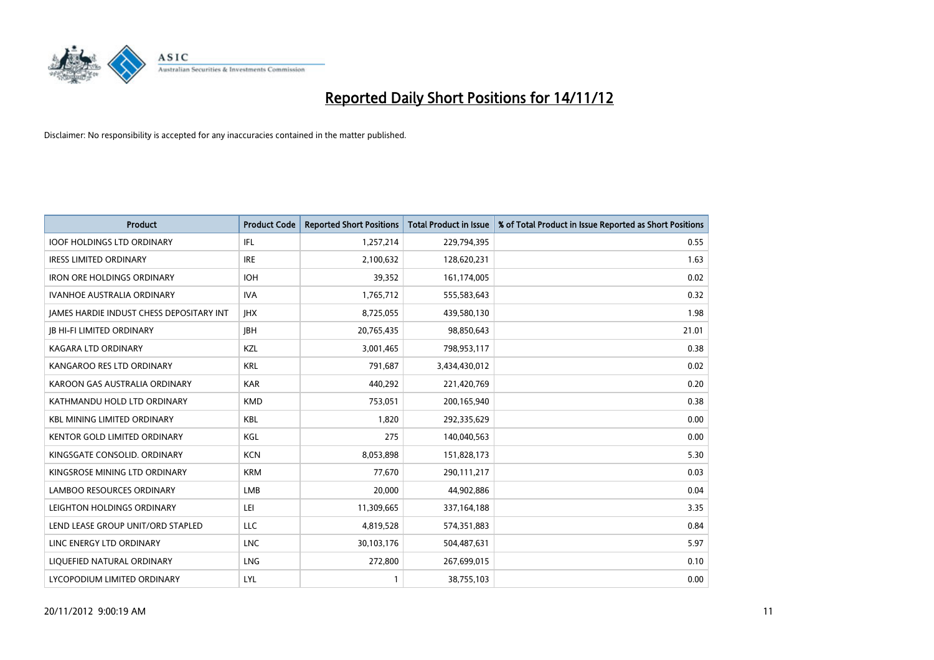

| <b>Product</b>                                  | <b>Product Code</b> | <b>Reported Short Positions</b> | <b>Total Product in Issue</b> | % of Total Product in Issue Reported as Short Positions |
|-------------------------------------------------|---------------------|---------------------------------|-------------------------------|---------------------------------------------------------|
| <b>IOOF HOLDINGS LTD ORDINARY</b>               | IFL                 | 1,257,214                       | 229,794,395                   | 0.55                                                    |
| <b>IRESS LIMITED ORDINARY</b>                   | <b>IRE</b>          | 2,100,632                       | 128,620,231                   | 1.63                                                    |
| <b>IRON ORE HOLDINGS ORDINARY</b>               | <b>IOH</b>          | 39,352                          | 161,174,005                   | 0.02                                                    |
| <b>IVANHOE AUSTRALIA ORDINARY</b>               | <b>IVA</b>          | 1,765,712                       | 555,583,643                   | 0.32                                                    |
| <b>IAMES HARDIE INDUST CHESS DEPOSITARY INT</b> | <b>IHX</b>          | 8,725,055                       | 439,580,130                   | 1.98                                                    |
| <b>IB HI-FI LIMITED ORDINARY</b>                | <b>IBH</b>          | 20,765,435                      | 98,850,643                    | 21.01                                                   |
| <b>KAGARA LTD ORDINARY</b>                      | KZL                 | 3,001,465                       | 798,953,117                   | 0.38                                                    |
| KANGAROO RES LTD ORDINARY                       | <b>KRL</b>          | 791,687                         | 3,434,430,012                 | 0.02                                                    |
| KAROON GAS AUSTRALIA ORDINARY                   | <b>KAR</b>          | 440,292                         | 221,420,769                   | 0.20                                                    |
| KATHMANDU HOLD LTD ORDINARY                     | <b>KMD</b>          | 753,051                         | 200,165,940                   | 0.38                                                    |
| <b>KBL MINING LIMITED ORDINARY</b>              | <b>KBL</b>          | 1,820                           | 292,335,629                   | 0.00                                                    |
| <b>KENTOR GOLD LIMITED ORDINARY</b>             | KGL                 | 275                             | 140,040,563                   | 0.00                                                    |
| KINGSGATE CONSOLID. ORDINARY                    | <b>KCN</b>          | 8,053,898                       | 151,828,173                   | 5.30                                                    |
| KINGSROSE MINING LTD ORDINARY                   | <b>KRM</b>          | 77,670                          | 290,111,217                   | 0.03                                                    |
| <b>LAMBOO RESOURCES ORDINARY</b>                | LMB                 | 20,000                          | 44,902,886                    | 0.04                                                    |
| LEIGHTON HOLDINGS ORDINARY                      | LEI                 | 11,309,665                      | 337, 164, 188                 | 3.35                                                    |
| LEND LEASE GROUP UNIT/ORD STAPLED               | LLC                 | 4,819,528                       | 574,351,883                   | 0.84                                                    |
| LINC ENERGY LTD ORDINARY                        | <b>LNC</b>          | 30,103,176                      | 504,487,631                   | 5.97                                                    |
| LIOUEFIED NATURAL ORDINARY                      | <b>LNG</b>          | 272,800                         | 267,699,015                   | 0.10                                                    |
| LYCOPODIUM LIMITED ORDINARY                     | LYL                 |                                 | 38,755,103                    | 0.00                                                    |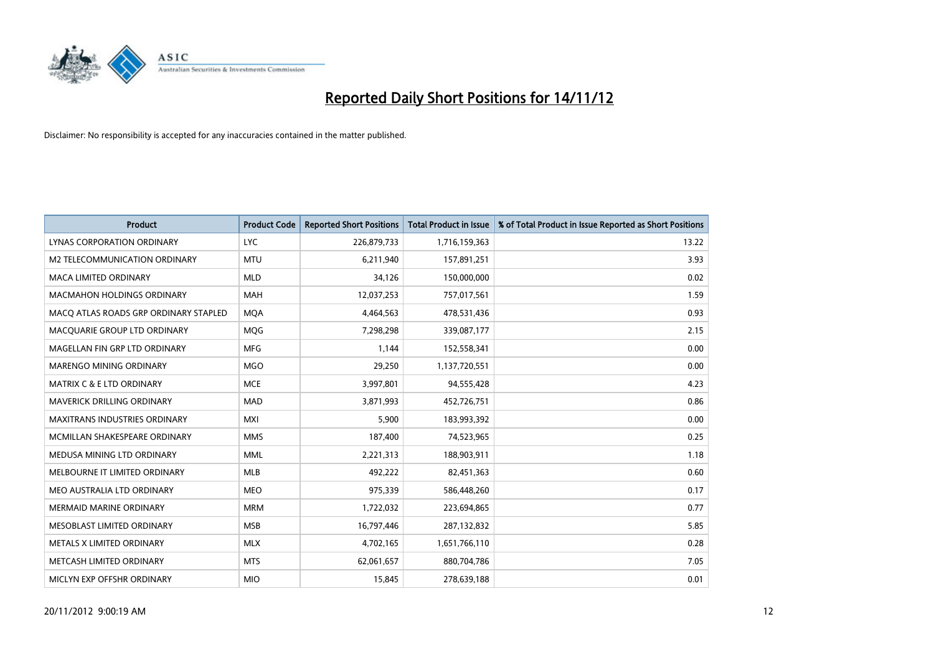

| <b>Product</b>                        | <b>Product Code</b> | <b>Reported Short Positions</b> | <b>Total Product in Issue</b> | % of Total Product in Issue Reported as Short Positions |
|---------------------------------------|---------------------|---------------------------------|-------------------------------|---------------------------------------------------------|
| LYNAS CORPORATION ORDINARY            | <b>LYC</b>          | 226,879,733                     | 1,716,159,363                 | 13.22                                                   |
| M2 TELECOMMUNICATION ORDINARY         | <b>MTU</b>          | 6,211,940                       | 157,891,251                   | 3.93                                                    |
| <b>MACA LIMITED ORDINARY</b>          | <b>MLD</b>          | 34,126                          | 150,000,000                   | 0.02                                                    |
| MACMAHON HOLDINGS ORDINARY            | <b>MAH</b>          | 12,037,253                      | 757,017,561                   | 1.59                                                    |
| MACO ATLAS ROADS GRP ORDINARY STAPLED | <b>MOA</b>          | 4,464,563                       | 478,531,436                   | 0.93                                                    |
| MACQUARIE GROUP LTD ORDINARY          | <b>MOG</b>          | 7,298,298                       | 339,087,177                   | 2.15                                                    |
| MAGELLAN FIN GRP LTD ORDINARY         | <b>MFG</b>          | 1,144                           | 152,558,341                   | 0.00                                                    |
| <b>MARENGO MINING ORDINARY</b>        | <b>MGO</b>          | 29,250                          | 1,137,720,551                 | 0.00                                                    |
| MATRIX C & E LTD ORDINARY             | <b>MCE</b>          | 3,997,801                       | 94,555,428                    | 4.23                                                    |
| <b>MAVERICK DRILLING ORDINARY</b>     | <b>MAD</b>          | 3,871,993                       | 452,726,751                   | 0.86                                                    |
| MAXITRANS INDUSTRIES ORDINARY         | <b>MXI</b>          | 5,900                           | 183,993,392                   | 0.00                                                    |
| MCMILLAN SHAKESPEARE ORDINARY         | <b>MMS</b>          | 187,400                         | 74,523,965                    | 0.25                                                    |
| MEDUSA MINING LTD ORDINARY            | <b>MML</b>          | 2,221,313                       | 188,903,911                   | 1.18                                                    |
| MELBOURNE IT LIMITED ORDINARY         | <b>MLB</b>          | 492,222                         | 82,451,363                    | 0.60                                                    |
| MEO AUSTRALIA LTD ORDINARY            | <b>MEO</b>          | 975,339                         | 586,448,260                   | 0.17                                                    |
| MERMAID MARINE ORDINARY               | <b>MRM</b>          | 1,722,032                       | 223,694,865                   | 0.77                                                    |
| MESOBLAST LIMITED ORDINARY            | <b>MSB</b>          | 16,797,446                      | 287,132,832                   | 5.85                                                    |
| METALS X LIMITED ORDINARY             | <b>MLX</b>          | 4,702,165                       | 1,651,766,110                 | 0.28                                                    |
| METCASH LIMITED ORDINARY              | <b>MTS</b>          | 62,061,657                      | 880,704,786                   | 7.05                                                    |
| MICLYN EXP OFFSHR ORDINARY            | <b>MIO</b>          | 15,845                          | 278,639,188                   | 0.01                                                    |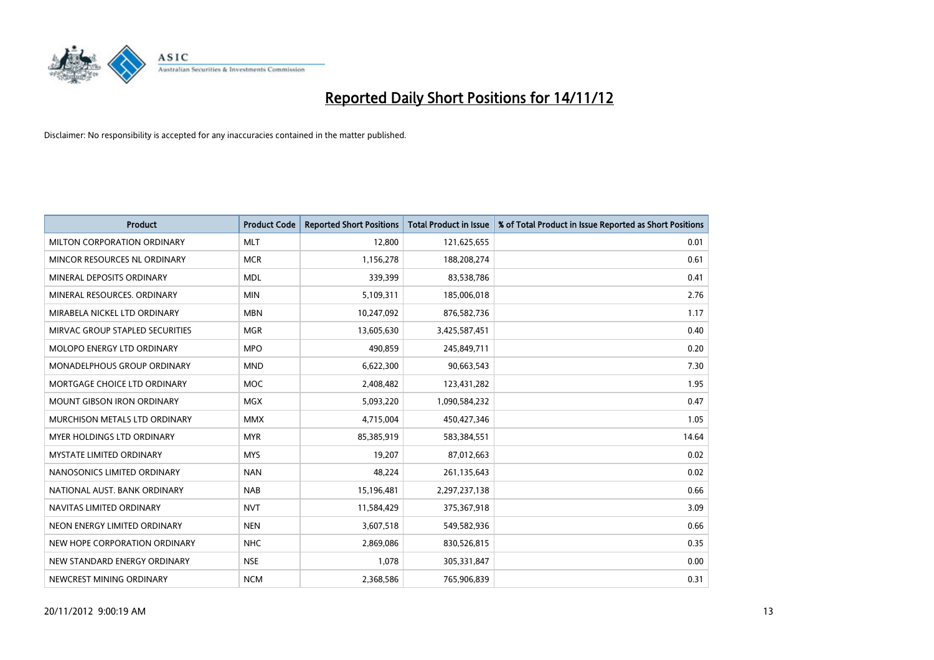

| <b>Product</b>                    | <b>Product Code</b> | <b>Reported Short Positions</b> | <b>Total Product in Issue</b> | % of Total Product in Issue Reported as Short Positions |
|-----------------------------------|---------------------|---------------------------------|-------------------------------|---------------------------------------------------------|
| MILTON CORPORATION ORDINARY       | <b>MLT</b>          | 12,800                          | 121,625,655                   | 0.01                                                    |
| MINCOR RESOURCES NL ORDINARY      | <b>MCR</b>          | 1,156,278                       | 188,208,274                   | 0.61                                                    |
| MINERAL DEPOSITS ORDINARY         | <b>MDL</b>          | 339,399                         | 83,538,786                    | 0.41                                                    |
| MINERAL RESOURCES. ORDINARY       | <b>MIN</b>          | 5,109,311                       | 185,006,018                   | 2.76                                                    |
| MIRABELA NICKEL LTD ORDINARY      | <b>MBN</b>          | 10,247,092                      | 876,582,736                   | 1.17                                                    |
| MIRVAC GROUP STAPLED SECURITIES   | <b>MGR</b>          | 13,605,630                      | 3,425,587,451                 | 0.40                                                    |
| <b>MOLOPO ENERGY LTD ORDINARY</b> | <b>MPO</b>          | 490,859                         | 245,849,711                   | 0.20                                                    |
| MONADELPHOUS GROUP ORDINARY       | <b>MND</b>          | 6,622,300                       | 90,663,543                    | 7.30                                                    |
| MORTGAGE CHOICE LTD ORDINARY      | <b>MOC</b>          | 2,408,482                       | 123,431,282                   | 1.95                                                    |
| <b>MOUNT GIBSON IRON ORDINARY</b> | <b>MGX</b>          | 5,093,220                       | 1,090,584,232                 | 0.47                                                    |
| MURCHISON METALS LTD ORDINARY     | <b>MMX</b>          | 4,715,004                       | 450,427,346                   | 1.05                                                    |
| <b>MYER HOLDINGS LTD ORDINARY</b> | <b>MYR</b>          | 85,385,919                      | 583,384,551                   | 14.64                                                   |
| MYSTATE LIMITED ORDINARY          | <b>MYS</b>          | 19,207                          | 87,012,663                    | 0.02                                                    |
| NANOSONICS LIMITED ORDINARY       | <b>NAN</b>          | 48,224                          | 261,135,643                   | 0.02                                                    |
| NATIONAL AUST, BANK ORDINARY      | <b>NAB</b>          | 15,196,481                      | 2,297,237,138                 | 0.66                                                    |
| NAVITAS LIMITED ORDINARY          | <b>NVT</b>          | 11,584,429                      | 375,367,918                   | 3.09                                                    |
| NEON ENERGY LIMITED ORDINARY      | <b>NEN</b>          | 3,607,518                       | 549,582,936                   | 0.66                                                    |
| NEW HOPE CORPORATION ORDINARY     | <b>NHC</b>          | 2,869,086                       | 830,526,815                   | 0.35                                                    |
| NEW STANDARD ENERGY ORDINARY      | <b>NSE</b>          | 1,078                           | 305,331,847                   | 0.00                                                    |
| NEWCREST MINING ORDINARY          | <b>NCM</b>          | 2,368,586                       | 765,906,839                   | 0.31                                                    |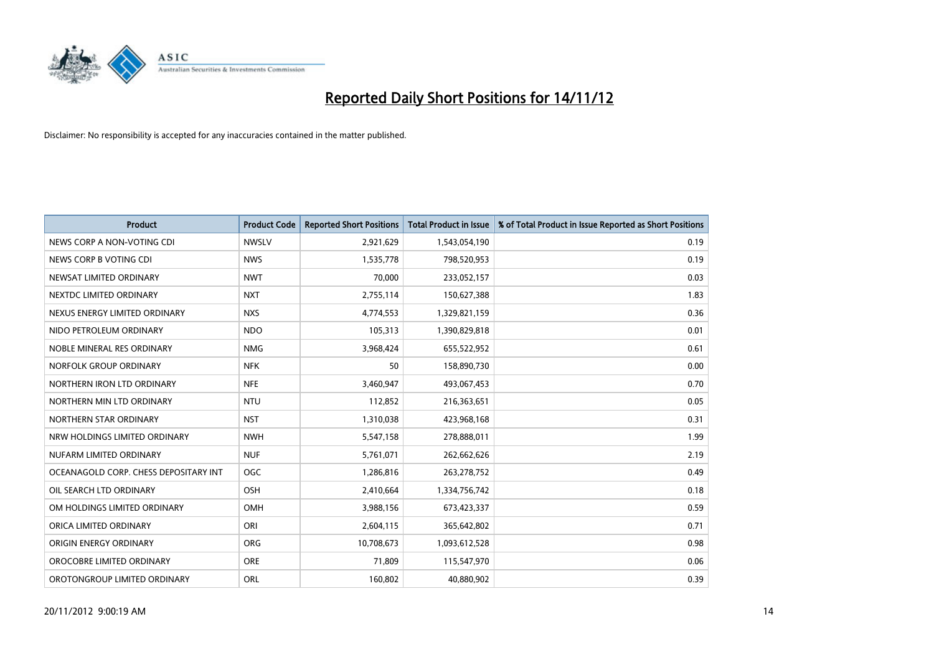

| <b>Product</b>                        | <b>Product Code</b> | <b>Reported Short Positions</b> | <b>Total Product in Issue</b> | % of Total Product in Issue Reported as Short Positions |
|---------------------------------------|---------------------|---------------------------------|-------------------------------|---------------------------------------------------------|
| NEWS CORP A NON-VOTING CDI            | <b>NWSLV</b>        | 2,921,629                       | 1,543,054,190                 | 0.19                                                    |
| NEWS CORP B VOTING CDI                | <b>NWS</b>          | 1,535,778                       | 798,520,953                   | 0.19                                                    |
| NEWSAT LIMITED ORDINARY               | <b>NWT</b>          | 70,000                          | 233,052,157                   | 0.03                                                    |
| NEXTDC LIMITED ORDINARY               | <b>NXT</b>          | 2,755,114                       | 150,627,388                   | 1.83                                                    |
| NEXUS ENERGY LIMITED ORDINARY         | <b>NXS</b>          | 4,774,553                       | 1,329,821,159                 | 0.36                                                    |
| NIDO PETROLEUM ORDINARY               | <b>NDO</b>          | 105,313                         | 1,390,829,818                 | 0.01                                                    |
| NOBLE MINERAL RES ORDINARY            | <b>NMG</b>          | 3,968,424                       | 655,522,952                   | 0.61                                                    |
| NORFOLK GROUP ORDINARY                | <b>NFK</b>          | 50                              | 158,890,730                   | 0.00                                                    |
| NORTHERN IRON LTD ORDINARY            | <b>NFE</b>          | 3,460,947                       | 493,067,453                   | 0.70                                                    |
| NORTHERN MIN LTD ORDINARY             | <b>NTU</b>          | 112,852                         | 216,363,651                   | 0.05                                                    |
| NORTHERN STAR ORDINARY                | <b>NST</b>          | 1,310,038                       | 423,968,168                   | 0.31                                                    |
| NRW HOLDINGS LIMITED ORDINARY         | <b>NWH</b>          | 5,547,158                       | 278,888,011                   | 1.99                                                    |
| NUFARM LIMITED ORDINARY               | <b>NUF</b>          | 5,761,071                       | 262,662,626                   | 2.19                                                    |
| OCEANAGOLD CORP. CHESS DEPOSITARY INT | <b>OGC</b>          | 1,286,816                       | 263,278,752                   | 0.49                                                    |
| OIL SEARCH LTD ORDINARY               | <b>OSH</b>          | 2,410,664                       | 1,334,756,742                 | 0.18                                                    |
| OM HOLDINGS LIMITED ORDINARY          | OMH                 | 3,988,156                       | 673,423,337                   | 0.59                                                    |
| ORICA LIMITED ORDINARY                | ORI                 | 2,604,115                       | 365,642,802                   | 0.71                                                    |
| ORIGIN ENERGY ORDINARY                | <b>ORG</b>          | 10,708,673                      | 1,093,612,528                 | 0.98                                                    |
| OROCOBRE LIMITED ORDINARY             | <b>ORE</b>          | 71,809                          | 115,547,970                   | 0.06                                                    |
| OROTONGROUP LIMITED ORDINARY          | <b>ORL</b>          | 160.802                         | 40,880,902                    | 0.39                                                    |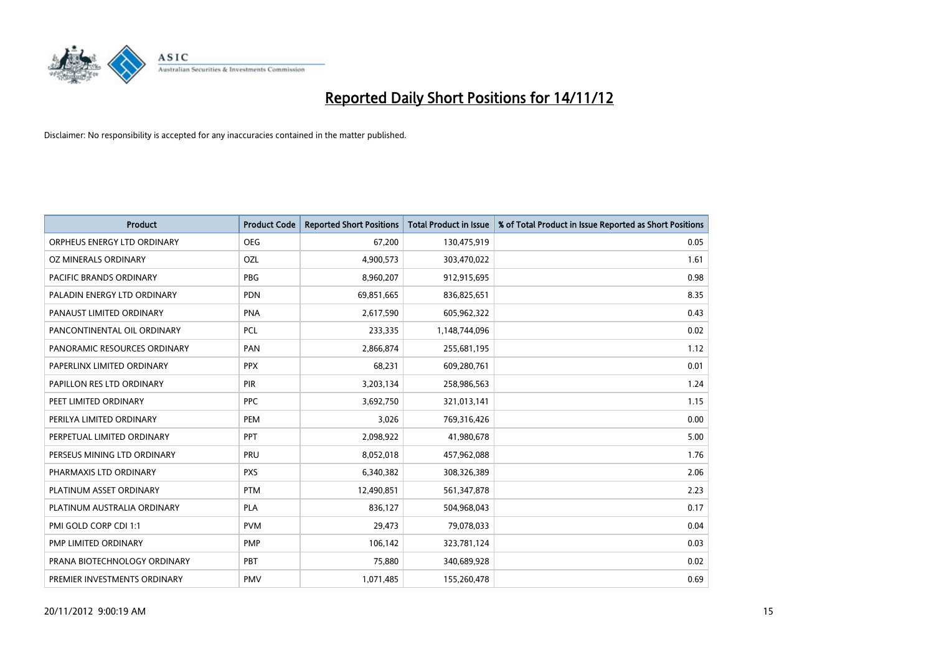

| <b>Product</b>               | <b>Product Code</b> | <b>Reported Short Positions</b> | <b>Total Product in Issue</b> | % of Total Product in Issue Reported as Short Positions |
|------------------------------|---------------------|---------------------------------|-------------------------------|---------------------------------------------------------|
| ORPHEUS ENERGY LTD ORDINARY  | <b>OEG</b>          | 67,200                          | 130,475,919                   | 0.05                                                    |
| OZ MINERALS ORDINARY         | OZL                 | 4,900,573                       | 303,470,022                   | 1.61                                                    |
| PACIFIC BRANDS ORDINARY      | <b>PBG</b>          | 8,960,207                       | 912,915,695                   | 0.98                                                    |
| PALADIN ENERGY LTD ORDINARY  | <b>PDN</b>          | 69,851,665                      | 836,825,651                   | 8.35                                                    |
| PANAUST LIMITED ORDINARY     | <b>PNA</b>          | 2,617,590                       | 605,962,322                   | 0.43                                                    |
| PANCONTINENTAL OIL ORDINARY  | PCL                 | 233,335                         | 1,148,744,096                 | 0.02                                                    |
| PANORAMIC RESOURCES ORDINARY | PAN                 | 2,866,874                       | 255,681,195                   | 1.12                                                    |
| PAPERLINX LIMITED ORDINARY   | <b>PPX</b>          | 68,231                          | 609,280,761                   | 0.01                                                    |
| PAPILLON RES LTD ORDINARY    | <b>PIR</b>          | 3,203,134                       | 258,986,563                   | 1.24                                                    |
| PEET LIMITED ORDINARY        | <b>PPC</b>          | 3,692,750                       | 321,013,141                   | 1.15                                                    |
| PERILYA LIMITED ORDINARY     | PEM                 | 3,026                           | 769,316,426                   | 0.00                                                    |
| PERPETUAL LIMITED ORDINARY   | PPT                 | 2,098,922                       | 41,980,678                    | 5.00                                                    |
| PERSEUS MINING LTD ORDINARY  | PRU                 | 8,052,018                       | 457,962,088                   | 1.76                                                    |
| PHARMAXIS LTD ORDINARY       | <b>PXS</b>          | 6,340,382                       | 308,326,389                   | 2.06                                                    |
| PLATINUM ASSET ORDINARY      | <b>PTM</b>          | 12,490,851                      | 561,347,878                   | 2.23                                                    |
| PLATINUM AUSTRALIA ORDINARY  | <b>PLA</b>          | 836,127                         | 504,968,043                   | 0.17                                                    |
| PMI GOLD CORP CDI 1:1        | <b>PVM</b>          | 29,473                          | 79,078,033                    | 0.04                                                    |
| PMP LIMITED ORDINARY         | <b>PMP</b>          | 106,142                         | 323,781,124                   | 0.03                                                    |
| PRANA BIOTECHNOLOGY ORDINARY | PBT                 | 75,880                          | 340,689,928                   | 0.02                                                    |
| PREMIER INVESTMENTS ORDINARY | <b>PMV</b>          | 1,071,485                       | 155,260,478                   | 0.69                                                    |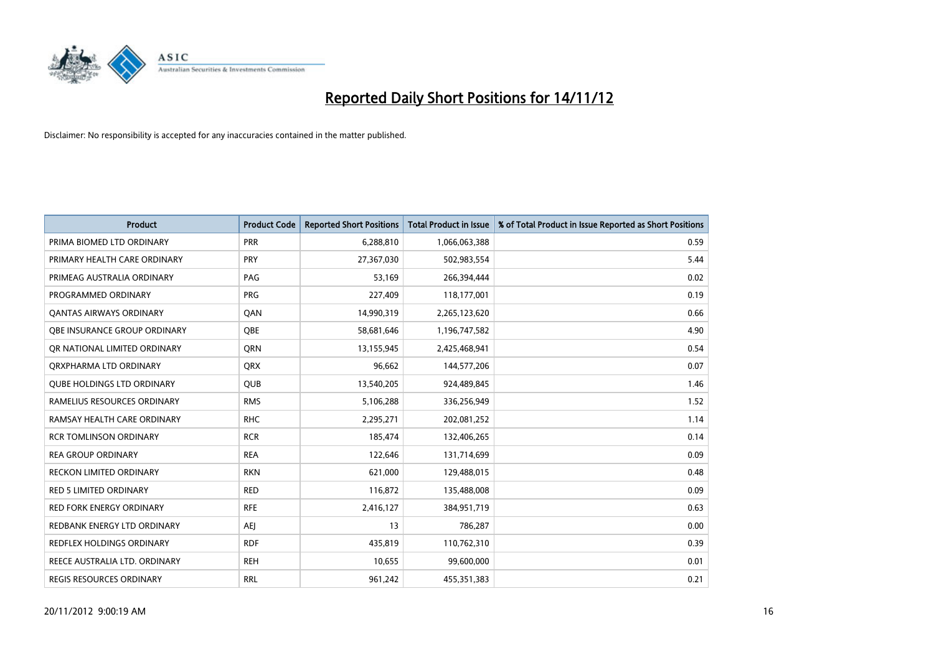

| <b>Product</b>                    | <b>Product Code</b> | <b>Reported Short Positions</b> | <b>Total Product in Issue</b> | % of Total Product in Issue Reported as Short Positions |
|-----------------------------------|---------------------|---------------------------------|-------------------------------|---------------------------------------------------------|
| PRIMA BIOMED LTD ORDINARY         | <b>PRR</b>          | 6,288,810                       | 1,066,063,388                 | 0.59                                                    |
| PRIMARY HEALTH CARE ORDINARY      | <b>PRY</b>          | 27,367,030                      | 502,983,554                   | 5.44                                                    |
| PRIMEAG AUSTRALIA ORDINARY        | PAG                 | 53,169                          | 266,394,444                   | 0.02                                                    |
| PROGRAMMED ORDINARY               | <b>PRG</b>          | 227,409                         | 118,177,001                   | 0.19                                                    |
| OANTAS AIRWAYS ORDINARY           | QAN                 | 14,990,319                      | 2,265,123,620                 | 0.66                                                    |
| OBE INSURANCE GROUP ORDINARY      | <b>OBE</b>          | 58,681,646                      | 1,196,747,582                 | 4.90                                                    |
| OR NATIONAL LIMITED ORDINARY      | <b>ORN</b>          | 13,155,945                      | 2,425,468,941                 | 0.54                                                    |
| ORXPHARMA LTD ORDINARY            | <b>ORX</b>          | 96,662                          | 144,577,206                   | 0.07                                                    |
| <b>QUBE HOLDINGS LTD ORDINARY</b> | <b>QUB</b>          | 13,540,205                      | 924,489,845                   | 1.46                                                    |
| RAMELIUS RESOURCES ORDINARY       | <b>RMS</b>          | 5,106,288                       | 336,256,949                   | 1.52                                                    |
| RAMSAY HEALTH CARE ORDINARY       | <b>RHC</b>          | 2,295,271                       | 202,081,252                   | 1.14                                                    |
| <b>RCR TOMLINSON ORDINARY</b>     | <b>RCR</b>          | 185,474                         | 132,406,265                   | 0.14                                                    |
| <b>REA GROUP ORDINARY</b>         | <b>REA</b>          | 122,646                         | 131,714,699                   | 0.09                                                    |
| <b>RECKON LIMITED ORDINARY</b>    | <b>RKN</b>          | 621,000                         | 129,488,015                   | 0.48                                                    |
| <b>RED 5 LIMITED ORDINARY</b>     | <b>RED</b>          | 116,872                         | 135,488,008                   | 0.09                                                    |
| <b>RED FORK ENERGY ORDINARY</b>   | <b>RFE</b>          | 2,416,127                       | 384,951,719                   | 0.63                                                    |
| REDBANK ENERGY LTD ORDINARY       | AEJ                 | 13                              | 786,287                       | 0.00                                                    |
| REDFLEX HOLDINGS ORDINARY         | <b>RDF</b>          | 435,819                         | 110,762,310                   | 0.39                                                    |
| REECE AUSTRALIA LTD. ORDINARY     | <b>REH</b>          | 10,655                          | 99,600,000                    | 0.01                                                    |
| <b>REGIS RESOURCES ORDINARY</b>   | <b>RRL</b>          | 961,242                         | 455,351,383                   | 0.21                                                    |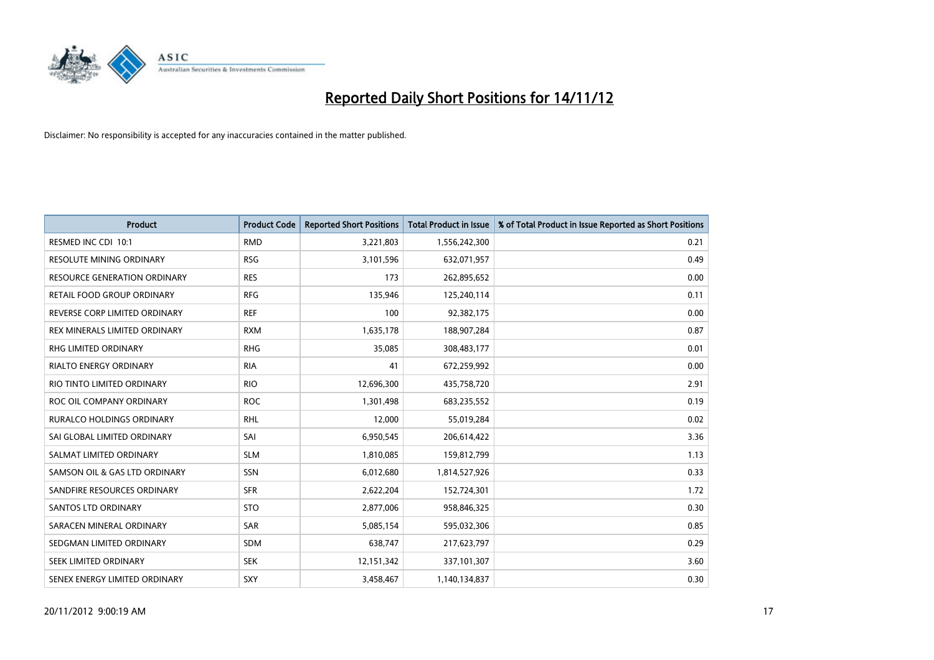

| <b>Product</b>                      | <b>Product Code</b> | <b>Reported Short Positions</b> | <b>Total Product in Issue</b> | % of Total Product in Issue Reported as Short Positions |
|-------------------------------------|---------------------|---------------------------------|-------------------------------|---------------------------------------------------------|
| RESMED INC CDI 10:1                 | <b>RMD</b>          | 3,221,803                       | 1,556,242,300                 | 0.21                                                    |
| RESOLUTE MINING ORDINARY            | <b>RSG</b>          | 3,101,596                       | 632,071,957                   | 0.49                                                    |
| <b>RESOURCE GENERATION ORDINARY</b> | <b>RES</b>          | 173                             | 262,895,652                   | 0.00                                                    |
| RETAIL FOOD GROUP ORDINARY          | <b>RFG</b>          | 135,946                         | 125,240,114                   | 0.11                                                    |
| REVERSE CORP LIMITED ORDINARY       | <b>REF</b>          | 100                             | 92,382,175                    | 0.00                                                    |
| REX MINERALS LIMITED ORDINARY       | <b>RXM</b>          | 1,635,178                       | 188,907,284                   | 0.87                                                    |
| <b>RHG LIMITED ORDINARY</b>         | <b>RHG</b>          | 35,085                          | 308,483,177                   | 0.01                                                    |
| RIALTO ENERGY ORDINARY              | <b>RIA</b>          | 41                              | 672,259,992                   | 0.00                                                    |
| RIO TINTO LIMITED ORDINARY          | <b>RIO</b>          | 12,696,300                      | 435,758,720                   | 2.91                                                    |
| ROC OIL COMPANY ORDINARY            | <b>ROC</b>          | 1,301,498                       | 683,235,552                   | 0.19                                                    |
| <b>RURALCO HOLDINGS ORDINARY</b>    | <b>RHL</b>          | 12,000                          | 55,019,284                    | 0.02                                                    |
| SAI GLOBAL LIMITED ORDINARY         | SAI                 | 6,950,545                       | 206,614,422                   | 3.36                                                    |
| SALMAT LIMITED ORDINARY             | <b>SLM</b>          | 1,810,085                       | 159,812,799                   | 1.13                                                    |
| SAMSON OIL & GAS LTD ORDINARY       | SSN                 | 6,012,680                       | 1,814,527,926                 | 0.33                                                    |
| SANDFIRE RESOURCES ORDINARY         | <b>SFR</b>          | 2,622,204                       | 152,724,301                   | 1.72                                                    |
| <b>SANTOS LTD ORDINARY</b>          | <b>STO</b>          | 2,877,006                       | 958,846,325                   | 0.30                                                    |
| SARACEN MINERAL ORDINARY            | SAR                 | 5,085,154                       | 595,032,306                   | 0.85                                                    |
| SEDGMAN LIMITED ORDINARY            | <b>SDM</b>          | 638,747                         | 217,623,797                   | 0.29                                                    |
| SEEK LIMITED ORDINARY               | <b>SEK</b>          | 12,151,342                      | 337,101,307                   | 3.60                                                    |
| SENEX ENERGY LIMITED ORDINARY       | SXY                 | 3,458,467                       | 1,140,134,837                 | 0.30                                                    |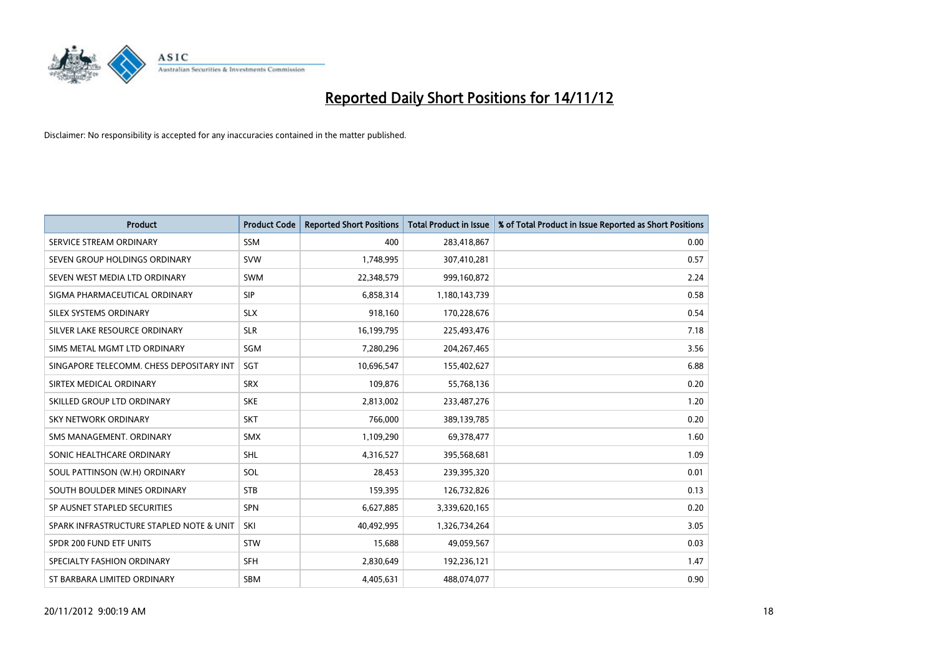

| <b>Product</b>                           | <b>Product Code</b> | <b>Reported Short Positions</b> | <b>Total Product in Issue</b> | % of Total Product in Issue Reported as Short Positions |
|------------------------------------------|---------------------|---------------------------------|-------------------------------|---------------------------------------------------------|
| SERVICE STREAM ORDINARY                  | <b>SSM</b>          | 400                             | 283,418,867                   | 0.00                                                    |
| SEVEN GROUP HOLDINGS ORDINARY            | <b>SVW</b>          | 1,748,995                       | 307,410,281                   | 0.57                                                    |
| SEVEN WEST MEDIA LTD ORDINARY            | <b>SWM</b>          | 22,348,579                      | 999,160,872                   | 2.24                                                    |
| SIGMA PHARMACEUTICAL ORDINARY            | <b>SIP</b>          | 6,858,314                       | 1,180,143,739                 | 0.58                                                    |
| SILEX SYSTEMS ORDINARY                   | <b>SLX</b>          | 918,160                         | 170,228,676                   | 0.54                                                    |
| SILVER LAKE RESOURCE ORDINARY            | <b>SLR</b>          | 16,199,795                      | 225,493,476                   | 7.18                                                    |
| SIMS METAL MGMT LTD ORDINARY             | SGM                 | 7,280,296                       | 204, 267, 465                 | 3.56                                                    |
| SINGAPORE TELECOMM. CHESS DEPOSITARY INT | <b>SGT</b>          | 10,696,547                      | 155,402,627                   | 6.88                                                    |
| SIRTEX MEDICAL ORDINARY                  | <b>SRX</b>          | 109,876                         | 55,768,136                    | 0.20                                                    |
| SKILLED GROUP LTD ORDINARY               | <b>SKE</b>          | 2,813,002                       | 233,487,276                   | 1.20                                                    |
| SKY NETWORK ORDINARY                     | <b>SKT</b>          | 766,000                         | 389,139,785                   | 0.20                                                    |
| SMS MANAGEMENT, ORDINARY                 | <b>SMX</b>          | 1,109,290                       | 69,378,477                    | 1.60                                                    |
| SONIC HEALTHCARE ORDINARY                | <b>SHL</b>          | 4,316,527                       | 395,568,681                   | 1.09                                                    |
| SOUL PATTINSON (W.H) ORDINARY            | SOL                 | 28,453                          | 239,395,320                   | 0.01                                                    |
| SOUTH BOULDER MINES ORDINARY             | <b>STB</b>          | 159,395                         | 126,732,826                   | 0.13                                                    |
| SP AUSNET STAPLED SECURITIES             | <b>SPN</b>          | 6,627,885                       | 3,339,620,165                 | 0.20                                                    |
| SPARK INFRASTRUCTURE STAPLED NOTE & UNIT | SKI                 | 40,492,995                      | 1,326,734,264                 | 3.05                                                    |
| SPDR 200 FUND ETF UNITS                  | <b>STW</b>          | 15,688                          | 49,059,567                    | 0.03                                                    |
| SPECIALTY FASHION ORDINARY               | <b>SFH</b>          | 2,830,649                       | 192,236,121                   | 1.47                                                    |
| ST BARBARA LIMITED ORDINARY              | <b>SBM</b>          | 4,405,631                       | 488,074,077                   | 0.90                                                    |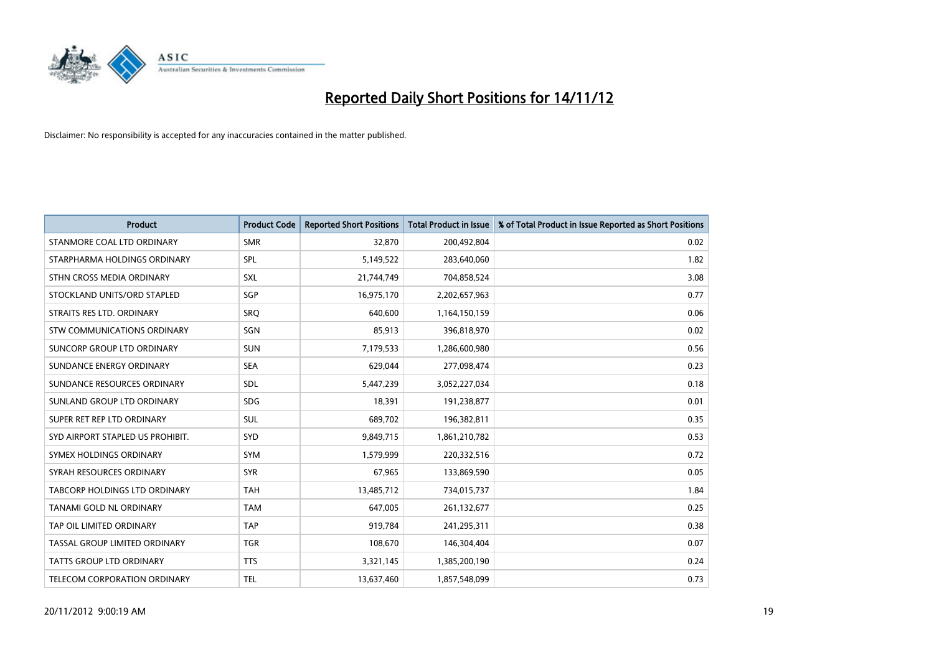

| <b>Product</b>                     | <b>Product Code</b> | <b>Reported Short Positions</b> | <b>Total Product in Issue</b> | % of Total Product in Issue Reported as Short Positions |
|------------------------------------|---------------------|---------------------------------|-------------------------------|---------------------------------------------------------|
| STANMORE COAL LTD ORDINARY         | <b>SMR</b>          | 32,870                          | 200,492,804                   | 0.02                                                    |
| STARPHARMA HOLDINGS ORDINARY       | <b>SPL</b>          | 5,149,522                       | 283,640,060                   | 1.82                                                    |
| STHN CROSS MEDIA ORDINARY          | <b>SXL</b>          | 21,744,749                      | 704,858,524                   | 3.08                                                    |
| STOCKLAND UNITS/ORD STAPLED        | SGP                 | 16,975,170                      | 2,202,657,963                 | 0.77                                                    |
| STRAITS RES LTD. ORDINARY          | SRO                 | 640,600                         | 1,164,150,159                 | 0.06                                                    |
| <b>STW COMMUNICATIONS ORDINARY</b> | SGN                 | 85,913                          | 396,818,970                   | 0.02                                                    |
| SUNCORP GROUP LTD ORDINARY         | <b>SUN</b>          | 7,179,533                       | 1,286,600,980                 | 0.56                                                    |
| SUNDANCE ENERGY ORDINARY           | <b>SEA</b>          | 629,044                         | 277,098,474                   | 0.23                                                    |
| SUNDANCE RESOURCES ORDINARY        | <b>SDL</b>          | 5,447,239                       | 3,052,227,034                 | 0.18                                                    |
| SUNLAND GROUP LTD ORDINARY         | <b>SDG</b>          | 18,391                          | 191,238,877                   | 0.01                                                    |
| SUPER RET REP LTD ORDINARY         | SUL                 | 689,702                         | 196,382,811                   | 0.35                                                    |
| SYD AIRPORT STAPLED US PROHIBIT.   | <b>SYD</b>          | 9,849,715                       | 1,861,210,782                 | 0.53                                                    |
| SYMEX HOLDINGS ORDINARY            | <b>SYM</b>          | 1,579,999                       | 220,332,516                   | 0.72                                                    |
| SYRAH RESOURCES ORDINARY           | <b>SYR</b>          | 67,965                          | 133,869,590                   | 0.05                                                    |
| TABCORP HOLDINGS LTD ORDINARY      | <b>TAH</b>          | 13,485,712                      | 734,015,737                   | 1.84                                                    |
| TANAMI GOLD NL ORDINARY            | <b>TAM</b>          | 647,005                         | 261,132,677                   | 0.25                                                    |
| TAP OIL LIMITED ORDINARY           | <b>TAP</b>          | 919,784                         | 241,295,311                   | 0.38                                                    |
| TASSAL GROUP LIMITED ORDINARY      | <b>TGR</b>          | 108,670                         | 146,304,404                   | 0.07                                                    |
| <b>TATTS GROUP LTD ORDINARY</b>    | <b>TTS</b>          | 3,321,145                       | 1,385,200,190                 | 0.24                                                    |
| TELECOM CORPORATION ORDINARY       | <b>TEL</b>          | 13,637,460                      | 1,857,548,099                 | 0.73                                                    |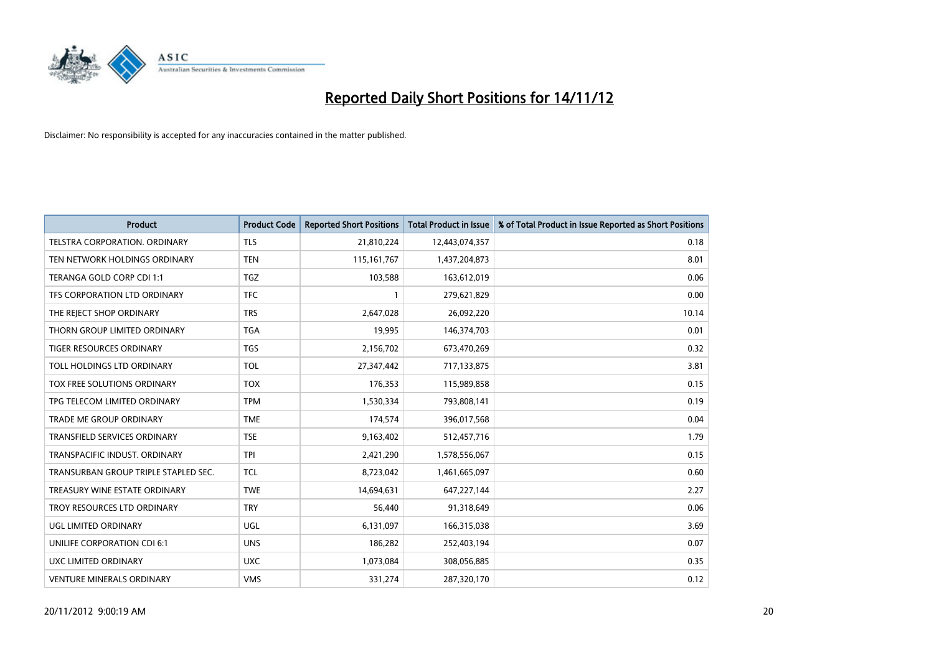

| <b>Product</b>                       | <b>Product Code</b> | <b>Reported Short Positions</b> | <b>Total Product in Issue</b> | % of Total Product in Issue Reported as Short Positions |
|--------------------------------------|---------------------|---------------------------------|-------------------------------|---------------------------------------------------------|
| <b>TELSTRA CORPORATION, ORDINARY</b> | <b>TLS</b>          | 21,810,224                      | 12,443,074,357                | 0.18                                                    |
| TEN NETWORK HOLDINGS ORDINARY        | <b>TEN</b>          | 115, 161, 767                   | 1,437,204,873                 | 8.01                                                    |
| TERANGA GOLD CORP CDI 1:1            | <b>TGZ</b>          | 103,588                         | 163,612,019                   | 0.06                                                    |
| TFS CORPORATION LTD ORDINARY         | <b>TFC</b>          |                                 | 279,621,829                   | 0.00                                                    |
| THE REJECT SHOP ORDINARY             | <b>TRS</b>          | 2,647,028                       | 26,092,220                    | 10.14                                                   |
| THORN GROUP LIMITED ORDINARY         | <b>TGA</b>          | 19,995                          | 146,374,703                   | 0.01                                                    |
| TIGER RESOURCES ORDINARY             | <b>TGS</b>          | 2,156,702                       | 673,470,269                   | 0.32                                                    |
| TOLL HOLDINGS LTD ORDINARY           | <b>TOL</b>          | 27,347,442                      | 717,133,875                   | 3.81                                                    |
| TOX FREE SOLUTIONS ORDINARY          | <b>TOX</b>          | 176,353                         | 115,989,858                   | 0.15                                                    |
| TPG TELECOM LIMITED ORDINARY         | <b>TPM</b>          | 1,530,334                       | 793,808,141                   | 0.19                                                    |
| TRADE ME GROUP ORDINARY              | <b>TME</b>          | 174,574                         | 396,017,568                   | 0.04                                                    |
| TRANSFIELD SERVICES ORDINARY         | <b>TSE</b>          | 9,163,402                       | 512,457,716                   | 1.79                                                    |
| TRANSPACIFIC INDUST, ORDINARY        | <b>TPI</b>          | 2,421,290                       | 1,578,556,067                 | 0.15                                                    |
| TRANSURBAN GROUP TRIPLE STAPLED SEC. | <b>TCL</b>          | 8,723,042                       | 1,461,665,097                 | 0.60                                                    |
| TREASURY WINE ESTATE ORDINARY        | <b>TWE</b>          | 14,694,631                      | 647, 227, 144                 | 2.27                                                    |
| TROY RESOURCES LTD ORDINARY          | <b>TRY</b>          | 56,440                          | 91,318,649                    | 0.06                                                    |
| UGL LIMITED ORDINARY                 | UGL                 | 6,131,097                       | 166,315,038                   | 3.69                                                    |
| UNILIFE CORPORATION CDI 6:1          | <b>UNS</b>          | 186,282                         | 252,403,194                   | 0.07                                                    |
| UXC LIMITED ORDINARY                 | <b>UXC</b>          | 1,073,084                       | 308,056,885                   | 0.35                                                    |
| <b>VENTURE MINERALS ORDINARY</b>     | <b>VMS</b>          | 331,274                         | 287,320,170                   | 0.12                                                    |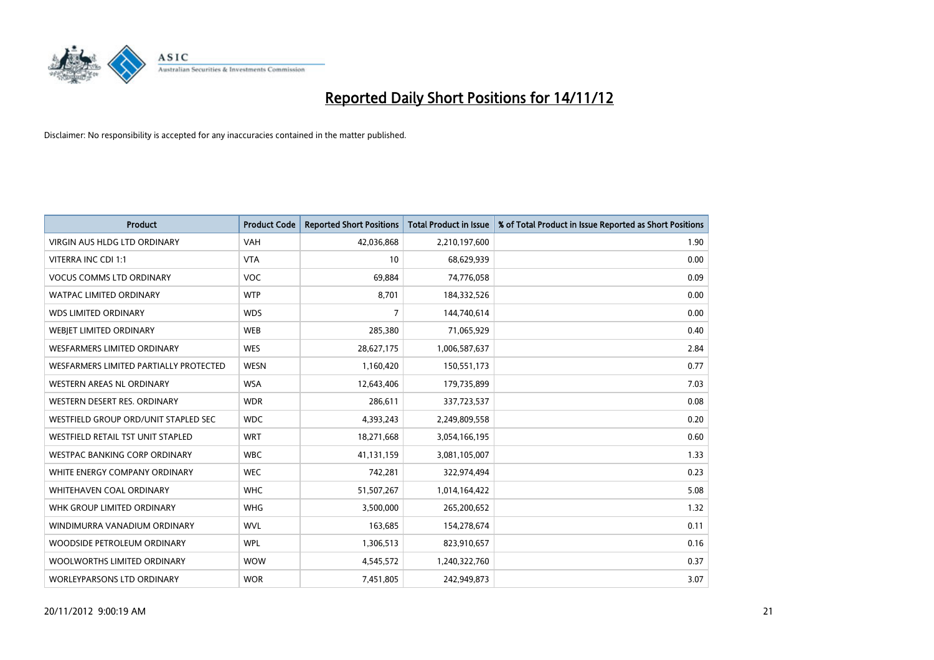

| <b>Product</b>                         | <b>Product Code</b> | <b>Reported Short Positions</b> | <b>Total Product in Issue</b> | % of Total Product in Issue Reported as Short Positions |
|----------------------------------------|---------------------|---------------------------------|-------------------------------|---------------------------------------------------------|
| <b>VIRGIN AUS HLDG LTD ORDINARY</b>    | <b>VAH</b>          | 42,036,868                      | 2,210,197,600                 | 1.90                                                    |
| VITERRA INC CDI 1:1                    | <b>VTA</b>          | 10                              | 68,629,939                    | 0.00                                                    |
| <b>VOCUS COMMS LTD ORDINARY</b>        | <b>VOC</b>          | 69,884                          | 74,776,058                    | 0.09                                                    |
| WATPAC LIMITED ORDINARY                | <b>WTP</b>          | 8,701                           | 184,332,526                   | 0.00                                                    |
| <b>WDS LIMITED ORDINARY</b>            | <b>WDS</b>          | 7                               | 144,740,614                   | 0.00                                                    |
| WEBIET LIMITED ORDINARY                | <b>WEB</b>          | 285,380                         | 71,065,929                    | 0.40                                                    |
| <b>WESFARMERS LIMITED ORDINARY</b>     | <b>WES</b>          | 28,627,175                      | 1,006,587,637                 | 2.84                                                    |
| WESFARMERS LIMITED PARTIALLY PROTECTED | <b>WESN</b>         | 1,160,420                       | 150,551,173                   | 0.77                                                    |
| <b>WESTERN AREAS NL ORDINARY</b>       | <b>WSA</b>          | 12,643,406                      | 179,735,899                   | 7.03                                                    |
| WESTERN DESERT RES. ORDINARY           | <b>WDR</b>          | 286,611                         | 337,723,537                   | 0.08                                                    |
| WESTFIELD GROUP ORD/UNIT STAPLED SEC   | <b>WDC</b>          | 4,393,243                       | 2,249,809,558                 | 0.20                                                    |
| WESTFIELD RETAIL TST UNIT STAPLED      | <b>WRT</b>          | 18,271,668                      | 3,054,166,195                 | 0.60                                                    |
| WESTPAC BANKING CORP ORDINARY          | <b>WBC</b>          | 41,131,159                      | 3,081,105,007                 | 1.33                                                    |
| WHITE ENERGY COMPANY ORDINARY          | <b>WEC</b>          | 742,281                         | 322,974,494                   | 0.23                                                    |
| <b>WHITEHAVEN COAL ORDINARY</b>        | <b>WHC</b>          | 51,507,267                      | 1,014,164,422                 | 5.08                                                    |
| WHK GROUP LIMITED ORDINARY             | <b>WHG</b>          | 3,500,000                       | 265,200,652                   | 1.32                                                    |
| WINDIMURRA VANADIUM ORDINARY           | <b>WVL</b>          | 163,685                         | 154,278,674                   | 0.11                                                    |
| WOODSIDE PETROLEUM ORDINARY            | <b>WPL</b>          | 1,306,513                       | 823,910,657                   | 0.16                                                    |
| WOOLWORTHS LIMITED ORDINARY            | <b>WOW</b>          | 4,545,572                       | 1,240,322,760                 | 0.37                                                    |
| <b>WORLEYPARSONS LTD ORDINARY</b>      | <b>WOR</b>          | 7,451,805                       | 242,949,873                   | 3.07                                                    |